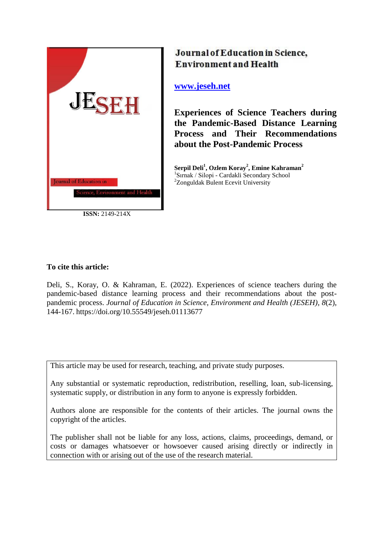

**ISSN:** 2149-214X

# Journal of Education in Science, **Environment and Health**

# **[www.jeseh.net](file:///C:/Users/mustafa/Desktop/www.jeseh.net)**

**Experiences of Science Teachers during the Pandemic-Based Distance Learning Process and Their Recommendations about the Post-Pandemic Process**

**Serpil Deli<sup>1</sup> , Ozlem Koray<sup>2</sup> , Emine Kahraman<sup>2</sup>** 1 Sırnak / Silopi - Cardakli Secondary School <sup>2</sup>Zonguldak Bulent Ecevit University

# **To cite this article:**

Deli, S., Koray, O. & Kahraman, E. (2022). Experiences of science teachers during the pandemic-based distance learning process and their recommendations about the postpandemic process. *Journal of Education in Science, Environment and Health (JESEH), 8*(2), 144-167. https://doi.org/10.55549/jeseh.01113677

This article may be used for research, teaching, and private study purposes.

Any substantial or systematic reproduction, redistribution, reselling, loan, sub-licensing, systematic supply, or distribution in any form to anyone is expressly forbidden.

Authors alone are responsible for the contents of their articles. The journal owns the copyright of the articles.

The publisher shall not be liable for any loss, actions, claims, proceedings, demand, or costs or damages whatsoever or howsoever caused arising directly or indirectly in connection with or arising out of the use of the research material.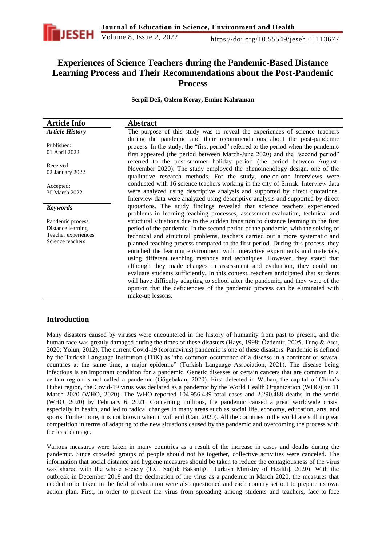

# **Experiences of Science Teachers during the Pandemic-Based Distance Learning Process and Their Recommendations about the Post-Pandemic Process**

**Serpil Deli, Ozlem Koray, Emine Kahraman**

| <b>Article Info</b>                     | <b>Abstract</b>                                                                                                                                                                                                                                                                                                                                                                                                                                                                                                                                                                                                                                                                            |
|-----------------------------------------|--------------------------------------------------------------------------------------------------------------------------------------------------------------------------------------------------------------------------------------------------------------------------------------------------------------------------------------------------------------------------------------------------------------------------------------------------------------------------------------------------------------------------------------------------------------------------------------------------------------------------------------------------------------------------------------------|
| <b>Article History</b>                  | The purpose of this study was to reveal the experiences of science teachers                                                                                                                                                                                                                                                                                                                                                                                                                                                                                                                                                                                                                |
| Published:<br>01 April 2022             | during the pandemic and their recommendations about the post-pandemic<br>process. In the study, the "first period" referred to the period when the pandemic<br>first appeared (the period between March-June 2020) and the "second period"                                                                                                                                                                                                                                                                                                                                                                                                                                                 |
| Received:<br>02 January 2022            | referred to the post-summer holiday period (the period between August-<br>November 2020). The study employed the phenomenology design, one of the<br>qualitative research methods. For the study, one-on-one interviews were                                                                                                                                                                                                                                                                                                                                                                                                                                                               |
| Accepted:<br>30 March 2022              | conducted with 16 science teachers working in the city of Sırnak. Interview data<br>were analyzed using descriptive analysis and supported by direct quotations.<br>Interview data were analyzed using descriptive analysis and supported by direct                                                                                                                                                                                                                                                                                                                                                                                                                                        |
| <b>Keywords</b>                         | quotations. The study findings revealed that science teachers experienced<br>problems in learning-teaching processes, assessment-evaluation, technical and                                                                                                                                                                                                                                                                                                                                                                                                                                                                                                                                 |
| Pandemic process                        | structural situations due to the sudden transition to distance learning in the first                                                                                                                                                                                                                                                                                                                                                                                                                                                                                                                                                                                                       |
| Distance learning                       | period of the pandemic. In the second period of the pandemic, with the solving of                                                                                                                                                                                                                                                                                                                                                                                                                                                                                                                                                                                                          |
| Teacher experiences<br>Science teachers | technical and structural problems, teachers carried out a more systematic and<br>planned teaching process compared to the first period. During this process, they<br>enriched the learning environment with interactive experiments and materials,<br>using different teaching methods and techniques. However, they stated that<br>although they made changes in assessment and evaluation, they could not<br>evaluate students sufficiently. In this context, teachers anticipated that students<br>will have difficulty adapting to school after the pandemic, and they were of the<br>opinion that the deficiencies of the pandemic process can be eliminated with<br>make-up lessons. |

# **Introduction**

Many disasters caused by viruses were encountered in the history of humanity from past to present, and the human race was greatly damaged during the times of these disasters (Hays, 1998; Özdemir, 2005; Tunç & Aıcı, 2020; Yolun, 2012). The current Covid-19 (coronavirus) pandemic is one of these disasters. Pandemic is defined by the Turkish Language Institution (TDK) as "the common occurrence of a disease in a continent or several countries at the same time, a major epidemic" (Turkish Language Association, 2021). The disease being infectious is an important condition for a pandemic. Genetic diseases or certain cancers that are common in a certain region is not called a pandemic (Gögebakan, 2020). First detected in Wuhan, the capital of China's Hubei region, the Covid-19 virus was declared as a pandemic by the World Health Organization (WHO) on 11 March 2020 (WHO, 2020). The WHO reported 104.956.439 total cases and 2.290.488 deaths in the world (WHO, 2020) by February 6, 2021. Concerning millions, the pandemic caused a great worldwide crisis, especially in health, and led to radical changes in many areas such as social life, economy, education, arts, and sports. Furthermore, it is not known when it will end (Can, 2020). All the countries in the world are still in great competition in terms of adapting to the new situations caused by the pandemic and overcoming the process with the least damage.

Various measures were taken in many countries as a result of the increase in cases and deaths during the pandemic. Since crowded groups of people should not be together, collective activities were canceled. The information that social distance and hygiene measures should be taken to reduce the contagiousness of the virus was shared with the whole society (T.C. Sağlık Bakanlığı [Turkish Ministry of Health], 2020). With the outbreak in December 2019 and the declaration of the virus as a pandemic in March 2020, the measures that needed to be taken in the field of education were also questioned and each country set out to prepare its own action plan. First, in order to prevent the virus from spreading among students and teachers, face-to-face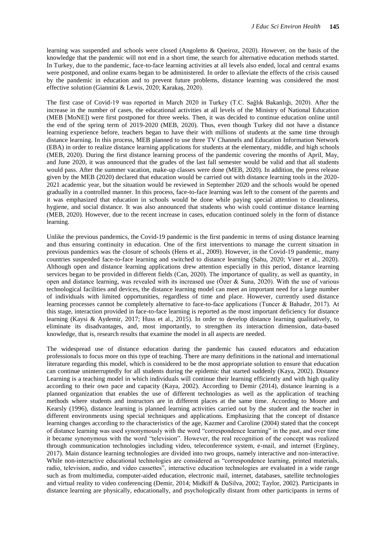learning was suspended and schools were closed (Angoletto & Queiroz, 2020). However, on the basis of the knowledge that the pandemic will not end in a short time, the search for alternative education methods started. In Turkey, due to the pandemic, face-to-face learning activities at all levels also ended, local and central exams were postponed, and online exams began to be administered. In order to alleviate the effects of the crisis caused by the pandemic in education and to prevent future problems, distance learning was considered the most effective solution (Giannini & Lewis, 2020; Karakaş, 2020).

The first case of Covid-19 was reported in March 2020 in Turkey (T.C. Sağlık Bakanlığı, 2020). After the increase in the number of cases, the educational activities at all levels of the Ministry of National Education (MEB [MoNE]) were first postponed for three weeks. Then, it was decided to continue education online until the end of the spring term of 2019-2020 (MEB, 2020). Thus, even though Turkey did not have a distance learning experience before, teachers began to have their with millions of students at the same time through distance learning. In this process, MEB planned to use three TV Channels and Education Information Network (EBA) in order to realize distance learning applications for students at the elementary, middle, and high schools (MEB, 2020). During the first distance learning process of the pandemic covering the months of April, May, and June 2020, it was announced that the grades of the last fall semester would be valid and that all students would pass. After the summer vacation, make-up classes were done (MEB, 2020). In addition, the press release given by the MEB (2020) declared that education would be carried out with distance learning tools in the 2020- 2021 academic year, but the situation would be reviewed in September 2020 and the schools would be opened gradually in a controlled manner. In this process, face-to-face learning was left to the consent of the parents and it was emphasized that education in schools would be done while paying special attention to cleanliness, hygiene, and social distance. It was also announced that students who wish could continue distance learning (MEB, 2020). However, due to the recent increase in cases, education continued solely in the form of distance learning.

Unlike the previous pandemics, the Covid-19 pandemic is the first pandemic in terms of using distance learning and thus ensuring continuity in education. One of the first interventions to manage the current situation in previous pandemics was the closure of schools (Hens et al., 2009). However, in the Covid-19 pandemic, many countries suspended face-to-face learning and switched to distance learning (Sahu, 2020; Viner et al., 2020). Although open and distance learning applications drew attention especially in this period, distance learning services began to be provided in different fields (Can, 2020). The importance of quality, as well as quantity, in open and distance learning, was revealed with its increased use (Özer & Suna, 2020). With the use of various technological facilities and devices, the distance learning model can meet an important need for a large number of individuals with limited opportunities, regardless of time and place. However, currently used distance learning processes cannot be completely alternative to face-to-face applications (Tuncer & Bahadır, 2017). At this stage, interaction provided in face-to-face learning is reported as the most important deficiency for distance learning (Kaysi & Aydemir, 2017; Huss et al., 2015). In order to develop distance learning qualitatively, to eliminate its disadvantages, and, most importantly, to strengthen its interaction dimension, data-based knowledge, that is, research results that examine the model in all aspects are needed.

The widespread use of distance education during the pandemic has caused educators and education professionals to focus more on this type of teaching. There are many definitions in the national and international literature regarding this model, which is considered to be the most appropriate solution to ensure that education can continue uninterruptedly for all students during the epidemic that started suddenly (Kaya, 2002). Distance Learning is a teaching model in which individuals will continue their learning efficiently and with high quality according to their own pace and capacity (Kaya, 2002). According to Demir (2014), distance learning is a planned organization that enables the use of different technologies as well as the application of teaching methods where students and instructors are in different places at the same time. According to Moore and Kearsly (1996), distance learning is planned learning activities carried out by the student and the teacher in different environments using special techniques and applications. Emphasizing that the concept of distance learning changes according to the characteristics of the age, Kazmer and Caroline (2004) stated that the concept of distance learning was used synonymously with the word "correspondence learning" in the past, and over time it became synonymous with the word "television". However, the real recognition of the concept was realized through communication technologies including video, teleconference system, e-mail, and internet (Ergüney, 2017). Main distance learning technologies are divided into two groups, namely interactive and non-interactive. While non-interactive educational technologies are considered as "correspondence learning, printed materials, radio, television, audio, and video cassettes", interactive education technologies are evaluated in a wide range such as from multimedia, computer-aided education, electronic mail, internet, databases, satellite technologies and virtual reality to video conferencing (Demir, 2014; Midkiff & DaSilva, 2002; Taylor, 2002). Participants in distance learning are physically, educationally, and psychologically distant from other participants in terms of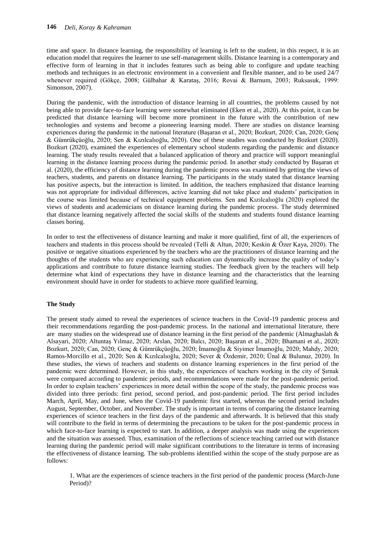time and space. In distance learning, the responsibility of learning is left to the student, in this respect, it is an education model that requires the learner to use self-management skills. Distance learning is a contemporary and effective form of learning in that it includes features such as being able to configure and update teaching methods and techniques in an electronic environment in a convenient and flexible manner, and to be used 24/7 whenever required (Gökçe, 2008; Gülbahar & Karataş, 2016; Rovai & Barnum, 2003; Ruksasuk, 1999: Simonson, 2007).

During the pandemic, with the introduction of distance learning in all countries, the problems caused by not being able to provide face-to-face learning were somewhat eliminated (Eken et al., 2020). At this point, it can be predicted that distance learning will become more prominent in the future with the contribution of new technologies and systems and become a pioneering learning model. There are studies on distance learning experiences during the pandemic in the national literature (Başaran et al., 2020; Bozkurt, 2020; Can, 2020; Genç & Gümrükçüoğlu, 2020; Sen & Kızılcalıoğlu, 2020). One of these studies was conducted by Bozkurt (2020). Bozkurt (2020), examined the experiences of elementary school students regarding the pandemic and distance learning. The study results revealed that a balanced application of theory and practice will support meaningful learning in the distance learning process during the pandemic period. In another study conducted by Başaran et al. (2020), the efficiency of distance learning during the pandemic process was examined by getting the views of teachers, students, and parents on distance learning. The participants in the study stated that distance learning has positive aspects, but the interaction is limited. In addition, the teachers emphasized that distance learning was not appropriate for individual differences, active learning did not take place and students' participation in the course was limited because of technical equipment problems. Sen and Kızılcalıoğlu (2020) explored the views of students and academicians on distance learning during the pandemic process. The study determined that distance learning negatively affected the social skills of the students and students found distance learning classes boring.

In order to test the effectiveness of distance learning and make it more qualified, first of all, the experiences of teachers and students in this process should be revealed (Telli & Altun, 2020; Keskin & Özer Kaya, 2020). The positive or negative situations experienced by the teachers who are the practitioners of distance learning and the thoughts of the students who are experiencing such education can dynamically increase the quality of today's applications and contribute to future distance learning studies. The feedback given by the teachers will help determine what kind of expectations they have in distance learning and the characteristics that the learning environment should have in order for students to achieve more qualified learning.

### **The Study**

The present study aimed to reveal the experiences of science teachers in the Covid-19 pandemic process and their recommendations regarding the post-pandemic process. In the national and international literature, there are many studies on the widespread use of distance learning in the first period of the pandemic (Almaghaslah & Alsayari, 2020; Altuntaş Yılmaz, 2020; Arslan, 2020; Balcı, 2020; Başaran et al., 2020; Bhamani et al., 2020; Bozkurt, 2020; Can, 2020; Genç & Gümrükçüoğlu, 2020; İmamoğlu & Siyimer İmamoğlu, 2020; Mahdy, 2020; Ramos-Morcillo et al., 2020; Sen & Kızılcalıoğlu, 2020; Sever & Özdemir, 2020; Ünal & Bulunuz, 2020). In these studies, the views of teachers and students on distance learning experiences in the first period of the pandemic were determined. However, in this study, the experiences of teachers working in the city of Şırnak were compared according to pandemic periods, and recommendations were made for the post-pandemic period. In order to explain teachers' experiences in more detail within the scope of the study, the pandemic process was divided into three periods: first period, second period, and post-pandemic period. The first period includes March, April, May, and June, when the Covid-19 pandemic first started, whereas the second period includes August, September, October, and November. The study is important in terms of comparing the distance learning experiences of science teachers in the first days of the pandemic and afterwards. It is believed that this study will contribute to the field in terms of determining the precautions to be taken for the post-pandemic process in which face-to-face learning is expected to start. In addition, a deeper analysis was made using the experiences and the situation was assessed. Thus, examination of the reflections of science teaching carried out with distance learning during the pandemic period will make significant contributions to the literature in terms of increasing the effectiveness of distance learning. The sub-problems identified within the scope of the study purpose are as follows:

1. What are the experiences of science teachers in the first period of the pandemic process (March-June Period)?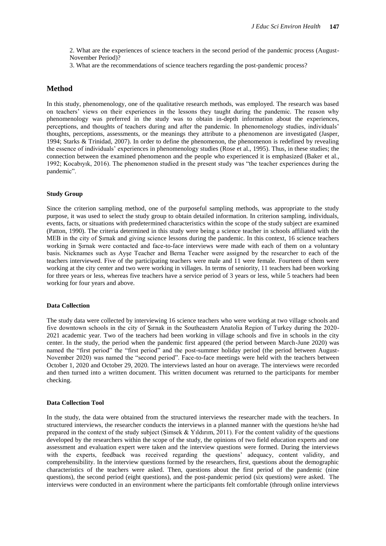2. What are the experiences of science teachers in the second period of the pandemic process (August-November Period)?

3. What are the recommendations of science teachers regarding the post-pandemic process?

## **Method**

In this study, phenomenology, one of the qualitative research methods, was employed. The research was based on teachers' views on their experiences in the lessons they taught during the pandemic. The reason why phenomenology was preferred in the study was to obtain in-depth information about the experiences, perceptions, and thoughts of teachers during and after the pandemic. In phenomenology studies, individuals' thoughts, perceptions, assessments, or the meanings they attribute to a phenomenon are investigated (Jasper, 1994; Starks & Trinidad, 2007). In order to define the phenomenon, the phenomenon is redefined by revealing the essence of individuals' experiences in phenomenology studies (Rose et al., 1995). Thus, in these studies; the connection between the examined phenomenon and the people who experienced it is emphasized (Baker et al., 1992; Kocabıyık, 2016). The phenomenon studied in the present study was "the teacher experiences during the pandemic".

#### **Study Group**

Since the criterion sampling method, one of the purposeful sampling methods, was appropriate to the study purpose, it was used to select the study group to obtain detailed information. In criterion sampling, individuals, events, facts, or situations with predetermined characteristics within the scope of the study subject are examined (Patton, 1990). The criteria determined in this study were being a science teacher in schools affiliated with the MEB in the city of Şırnak and giving science lessons during the pandemic. In this context, 16 science teachers working in Şırnak were contacted and face-to-face interviews were made with each of them on a voluntary basis. Nicknames such as Ayşe Teacher and Berna Teacher were assigned by the researcher to each of the teachers interviewed. Five of the participating teachers were male and 11 were female. Fourteen of them were working at the city center and two were working in villages. In terms of seniority, 11 teachers had been working for three years or less, whereas five teachers have a service period of 3 years or less, while 5 teachers had been working for four years and above.

#### **Data Collection**

The study data were collected by interviewing 16 science teachers who were working at two village schools and five downtown schools in the city of Şırnak in the Southeastern Anatolia Region of Turkey during the 2020- 2021 academic year. Two of the teachers had been working in village schools and five in schools in the city center. In the study, the period when the pandemic first appeared (the period between March-June 2020) was named the "first period" the "first period" and the post-summer holiday period (the period between August-November 2020) was named the "second period". Face-to-face meetings were held with the teachers between October 1, 2020 and October 29, 2020. The interviews lasted an hour on average. The interviews were recorded and then turned into a written document. This written document was returned to the participants for member checking.

#### **Data Collection Tool**

In the study, the data were obtained from the structured interviews the researcher made with the teachers. In structured interviews, the researcher conducts the interviews in a planned manner with the questions he/she had prepared in the context of the study subject (Şimsek & Yıldırım, 2011). For the content validity of the questions developed by the researchers within the scope of the study, the opinions of two field education experts and one assessment and evaluation expert were taken and the interview questions were formed. During the interviews with the experts, feedback was received regarding the questions' adequacy, content validity, and comprehensibility. In the interview questions formed by the researchers, first, questions about the demographic characteristics of the teachers were asked. Then, questions about the first period of the pandemic (nine questions), the second period (eight questions), and the post-pandemic period (six questions) were asked. The interviews were conducted in an environment where the participants felt comfortable (through online interviews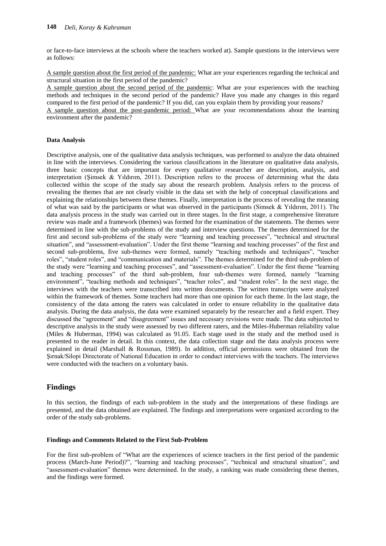or face-to-face interviews at the schools where the teachers worked at). Sample questions in the interviews were as follows:

A sample question about the first period of the pandemic: What are your experiences regarding the technical and structural situation in the first period of the pandemic?

A sample question about the second period of the pandemic: What are your experiences with the teaching methods and techniques in the second period of the pandemic? Have you made any changes in this regard compared to the first period of the pandemic? If you did, can you explain them by providing your reasons? A sample question about the post-pandemic period: What are your recommendations about the learning environment after the pandemic?

## **Data Analysis**

Descriptive analysis, one of the qualitative data analysis techniques, was performed to analyze the data obtained in line with the interviews. Considering the various classifications in the literature on qualitative data analysis, three basic concepts that are important for every qualitative researcher are description, analysis, and interpretation (Şimsek & Yıldırım, 2011). Description refers to the process of determining what the data collected within the scope of the study say about the research problem. Analysis refers to the process of revealing the themes that are not clearly visible in the data set with the help of conceptual classifications and explaining the relationships between these themes. Finally, interpretation is the process of revealing the meaning of what was said by the participants or what was observed in the participants (Simsek & Yıldırım, 2011). The data analysis process in the study was carried out in three stages. In the first stage, a comprehensive literature review was made and a framework (themes) was formed for the examination of the statements. The themes were determined in line with the sub-problems of the study and interview questions. The themes determined for the first and second sub-problems of the study were "learning and teaching processes", "technical and structural situation", and "assessment-evaluation". Under the first theme "learning and teaching processes" of the first and second sub-problems, five sub-themes were formed, namely "teaching methods and techniques", "teacher roles", "student roles", and "communication and materials". The themes determined for the third sub-problem of the study were "learning and teaching processes", and "assessment-evaluation". Under the first theme "learning and teaching processes" of the third sub-problem, four sub-themes were formed, namely "learning environment", "teaching methods and techniques", "teacher roles", and "student roles". In the next stage, the interviews with the teachers were transcribed into written documents. The written transcripts were analyzed within the framework of themes. Some teachers had more than one opinion for each theme. In the last stage, the consistency of the data among the raters was calculated in order to ensure reliability in the qualitative data analysis. During the data analysis, the data were examined separately by the researcher and a field expert. They discussed the "agreement" and "disagreement" issues and necessary revisions were made. The data subjected to descriptive analysis in the study were assessed by two different raters, and the Miles-Huberman reliability value (Miles & Huberman, 1994) was calculated as 91.05. Each stage used in the study and the method used is presented to the reader in detail. In this context, the data collection stage and the data analysis process were explained in detail (Marshall & Rossman, 1989). In addition, official permissions were obtained from the Şırnak/Silopi Directorate of National Education in order to conduct interviews with the teachers. The interviews were conducted with the teachers on a voluntary basis.

# **Findings**

In this section, the findings of each sub-problem in the study and the interpretations of these findings are presented, and the data obtained are explained. The findings and interpretations were organized according to the order of the study sub-problems.

#### **Findings and Comments Related to the First Sub-Problem**

For the first sub-problem of "What are the experiences of science teachers in the first period of the pandemic process (March-June Period)?", "learning and teaching processes", "technical and structural situation", and "assessment-evaluation" themes were determined. In the study, a ranking was made considering these themes, and the findings were formed.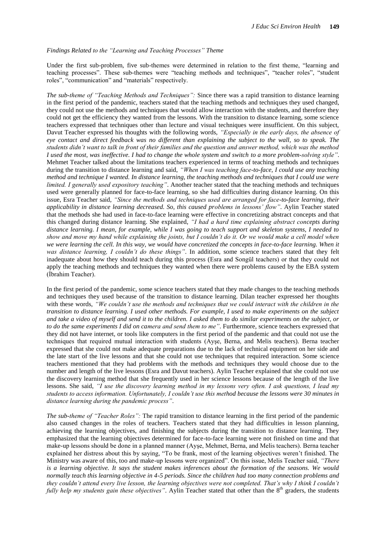#### *Findings Related to the "Learning and Teaching Processes" Theme*

Under the first sub-problem, five sub-themes were determined in relation to the first theme, "learning and teaching processes". These sub-themes were "teaching methods and techniques", "teacher roles", "student roles", "communication" and "materials" respectively.

*The sub-theme of "Teaching Methods and Techniques":* Since there was a rapid transition to distance learning in the first period of the pandemic, teachers stated that the teaching methods and techniques they used changed, they could not use the methods and techniques that would allow interaction with the students, and therefore they could not get the efficiency they wanted from the lessons. With the transition to distance learning, some science teachers expressed that techniques other than lecture and visual techniques were insufficient. On this subject, Davut Teacher expressed his thoughts with the following words, *"Especially in the early days, the absence of eye contact and direct feedback was no different than explaining the subject to the wall, so to speak. The students didn't want to talk in front of their families and the question and answer method, which was the method I used the most, was ineffective. I had to change the whole system and switch to a more problem-solving style"*. Mehmet Teacher talked about the limitations teachers experienced in terms of teaching methods and techniques during the transition to distance learning and said, *"When I was teaching face-to-face, I could use any teaching method and technique I wanted. In distance learning, the teaching methods and techniques that I could use were limited. I generally used expository teaching"*. Another teacher stated that the teaching methods and techniques used were generally planned for face-to-face learning, so she had difficulties during distance learning. On this issue, Esra Teacher said, *"Since the methods and techniques used are arranged for face-to-face learning, their applicability in distance learning decreased. So, this caused problems in lessons' flow"*. Aylin Teacher stated that the methods she had used in face-to-face learning were effective in concretizing abstract concepts and that this changed during distance learning. She explained, *"I had a hard time explaining abstract concepts during distance learning. I mean, for example, while I was going to teach support and skeleton systems, I needed to show and move my hand while explaining the joints, but I couldn't do it. Or we would make a cell model when we were learning the cell. In this way, we would have concretized the concepts in face-to-face learning. When it was distance learning, I couldn't do these things"*. In addition, some science teachers stated that they felt inadequate about how they should teach during this process (Esra and Songül teachers) or that they could not apply the teaching methods and techniques they wanted when there were problems caused by the EBA system (İbrahim Teacher).

In the first period of the pandemic, some science teachers stated that they made changes to the teaching methods and techniques they used because of the transition to distance learning. Dilan teacher expressed her thoughts with these words, "We couldn't use the methods and techniques that we could interact with the children in the *transition to distance learning. I used other methods. For example, I used to make experiments on the subject and take a video of myself and send it to the children. I asked them to do similar experiments on the subject, or to do the same experiments I did on camera and send them to me"*. Furthermore, science teachers expressed that they did not have internet, or tools like computers in the first period of the pandemic and that could not use the techniques that required mutual interaction with students (Ayşe, Berna, and Melis teachers). Berna teacher expressed that she could not make adequate preparations due to the lack of technical equipment on her side and the late start of the live lessons and that she could not use techniques that required interaction. Some science teachers mentioned that they had problems with the methods and techniques they would choose due to the number and length of the live lessons (Esra and Davut teachers). Aylin Teacher explained that she could not use the discovery learning method that she frequently used in her science lessons because of the length of the live lessons. She said, *"I use the discovery learning method in my lessons very often. I ask questions, I lead my students to access information. Unfortunately, I couldn't use this method because the lessons were 30 minutes in distance learning during the pandemic process"*.

*The sub-theme of "Teacher Roles":* The rapid transition to distance learning in the first period of the pandemic also caused changes in the roles of teachers. Teachers stated that they had difficulties in lesson planning, achieving the learning objectives, and finishing the subjects during the transition to distance learning. They emphasized that the learning objectives determined for face-to-face learning were not finished on time and that make-up lessons should be done in a planned manner (Ayşe, Mehmet, Berna, and Melis teachers). Berna teacher explained her distress about this by saying, "To be frank, most of the learning objectives weren't finished. The Ministry was aware of this, too and make-up lessons were organized". On this issue, Melis Teacher said, *"There is a learning objective. It says the student makes inferences about the formation of the seasons. We would normally teach this learning objective in 4-5 periods. Since the children had too many connection problems and they couldn't attend every live lesson, the learning objectives were not completed. That's why I think I couldn't fully help my students gain these objectives*". Aylin Teacher stated that other than the 8<sup>th</sup> graders, the students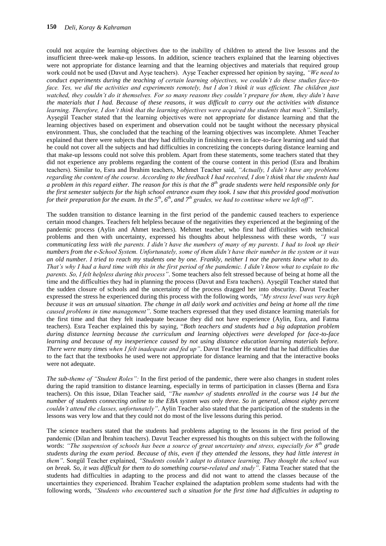could not acquire the learning objectives due to the inability of children to attend the live lessons and the insufficient three-week make-up lessons. In addition, science teachers explained that the learning objectives were not appropriate for distance learning and that the learning objectives and materials that required group work could not be used (Davut and Ayşe teachers). Ayşe Teacher expressed her opinion by saying, *"We need to conduct experiments during the teaching of certain learning objectives, we couldn't do these studies face-toface. Yes, we did the activities and experiments remotely, but I don't think it was efficient. The children just watched, they couldn't do it themselves. For so many reasons they couldn't prepare for them, they didn't have the materials that I had. Because of these reasons, it was difficult to carry out the activities with distance learning. Therefore, I don't think that the learning objectives were acquired the students that much"*. Similarly, Ayşegül Teacher stated that the learning objectives were not appropriate for distance learning and that the learning objectives based on experiment and observation could not be taught without the necessary physical environment. Thus, she concluded that the teaching of the learning objectives was incomplete. Ahmet Teacher explained that there were subjects that they had difficulty in finishing even in face-to-face learning and said that he could not cover all the subjects and had difficulties in concretizing the concepts during distance learning and that make-up lessons could not solve this problem. Apart from these statements, some teachers stated that they did not experience any problems regarding the content of the course content in this period (Esra and İbrahim teachers). Similar to, Esra and İbrahim teachers, Mehmet Teacher said, *"Actually, I didn't have any problems regarding the content of the course. According to the feedback I had received, I don't think that the students had a problem in this regard either. The reason for this is that the 8th grade students were held responsible only for the first semester subjects for the high school entrance exam they took. I saw that this provided good motivation for their preparation for the exam. In the*  $5<sup>th</sup>$ *,*  $6<sup>th</sup>$ *, and*  $7<sup>th</sup>$  *grades, we had to continue where we left off".* 

The sudden transition to distance learning in the first period of the pandemic caused teachers to experience certain mood changes. Teachers felt helpless because of the negativities they experienced at the beginning of the pandemic process (Aylin and Ahmet teachers). Mehmet teacher, who first had difficulties with technical problems and then with uncertainty, expressed his thoughts about helplessness with these words, *"I was communicating less with the parents. I didn't have the numbers of many of my parents. I had to look up their numbers from the e-School System. Unfortunately, some of them didn't have their number in the system or it was an old number. I tried to reach my students one by one. Frankly, neither I nor the parents knew what to do. That's why I had a hard time with this in the first period of the pandemic. I didn't know what to explain to the parents. So, I felt helpless during this process"*. Some teachers also felt stressed because of being at home all the time and the difficulties they had in planning the process (Davut and Esra teachers). Ayşegül Teacher stated that the sudden closure of schools and the uncertainty of the process dragged her into obscurity. Davut Teacher expressed the stress he experienced during this process with the following words, *"My stress level was very high because it was an unusual situation. The change in all daily work and activities and being at home all the time caused problems in time management"*. Some teachers expressed that they used distance learning materials for the first time and that they felt inadequate because they did not have experience (Aylin, Esra, and Fatma teachers). Esra Teacher explained this by saying, "*Both teachers and students had a big adaptation problem during distance learning because the curriculum and learning objectives were developed for face-to-face learning and because of my inexperience caused by not using distance education learning materials before. There were many times when I felt inadequate and fed up"*. Davut Teacher He stated that he had difficulties due to the fact that the textbooks he used were not appropriate for distance learning and that the interactive books were not adequate.

*The sub-theme of "Student Roles":* In the first period of the pandemic, there were also changes in student roles during the rapid transition to distance learning, especially in terms of participation in classes (Berna and Esra teachers). On this issue, Dilan Teacher said, *"The number of students enrolled in the course was 14 but the number of students connecting online to the EBA system was only three. So in general, almost eighty percent couldn't attend the classes, unfortunately"*. Aylin Teacher also stated that the participation of the students in the lessons was very low and that they could not do most of the live lessons during this period.

The science teachers stated that the students had problems adapting to the lessons in the first period of the pandemic (Dilan and İbrahim teachers). Davut Teacher expressed his thoughts on this subject with the following words: *"The suspension of schools has been a source of great uncertainty and stress, especially for 8th grade students during the exam period. Because of this, even if they attended the lessons, they had little interest in them"*. Songül Teacher explained, *"Students couldn't adapt to distance learning. They thought the school was on break. So, it was difficult for them to do something course-related and study"*. Fatma Teacher stated that the students had difficulties in adapting to the process and did not want to attend the classes because of the uncertainties they experienced. İbrahim Teacher explained the adaptation problem some students had with the following words, *"Students who encountered such a situation for the first time had difficulties in adapting to*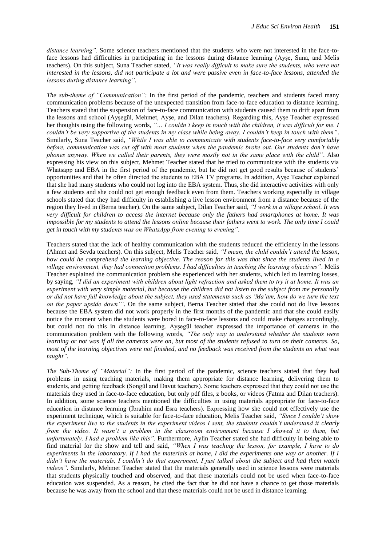*distance learning"*. Some science teachers mentioned that the students who were not interested in the face-toface lessons had difficulties in participating in the lessons during distance learning (Ayşe, Suna, and Melis teachers). On this subject, Suna Teacher stated, *"It was really difficult to make sure the students, who were not interested in the lessons, did not participate a lot and were passive even in face-to-face lessons, attended the lessons during distance learning"*.

*The sub-theme of "Communication":* In the first period of the pandemic, teachers and students faced many communication problems because of the unexpected transition from face-to-face education to distance learning. Teachers stated that the suspension of face-to-face communication with students caused them to drift apart from the lessons and school (Ayşegül, Mehmet, Ayşe, and Dilan teachers). Regarding this, Ayşe Teacher expressed her thoughts using the following words, "... I couldn't keep in touch with the children, it was difficult for me. I *couldn't be very supportive of the students in my class while being away. I couldn't keep in touch with them"*. Similarly, Suna Teacher said, *"While I was able to communicate with students face-to-face very comfortably before, communication was cut off with most students when the pandemic broke out. Our students don't have phones anyway. When we called their parents, they were mostly not in the same place with the child"*. Also expressing his view on this subject, Mehmet Teacher stated that he tried to communicate with the students via Whatsapp and EBA in the first period of the pandemic, but he did not get good results because of students' opportunities and that he often directed the students to EBA TV programs. In addition, Ayşe Teacher explained that she had many students who could not log into the EBA system. Thus, she did interactive activities with only a few students and she could not get enough feedback even from them. Teachers working especially in village schools stated that they had difficulty in establishing a live lesson environment from a distance because of the region they lived in (Berna teacher). On the same subject, Dilan Teacher said, *"I work in a village school. It was very difficult for children to access the internet because only the fathers had smartphones at home. It was impossible for my students to attend the lessons online because their fathers went to work. The only time I could get in touch with my students was on WhatsApp from evening to evening"*.

Teachers stated that the lack of healthy communication with the students reduced the efficiency in the lessons (Ahmet and Sevda teachers). On this subject, Melis Teacher said*, "I mean, the child couldn't attend the lesson, how could he comprehend the learning objective. The reason for this was that since the students lived in a village environment, they had connection problems. I had difficulties in teaching the learning objectives"*. Melis Teacher explained the communication problem she experienced with her students, which led to learning losses, by saying, *"I did an experiment with children about light refraction and asked them to try it at home. It was an experiment with very simple material, but because the children did not listen to the subject from me personally or did not have full knowledge about the subject, they used statements such as 'Ma'am, how do we turn the text on the paper upside down'"*. On the same subject, Berna Teacher stated that she could not do live lessons because the EBA system did not work properly in the first months of the pandemic and that she could easily notice the moment when the students were bored in face-to-face lessons and could make changes accordingly, but could not do this in distance learning. Ayşegül teacher expressed the importance of cameras in the communication problem with the following words, *"The only way to understand whether the students were learning or not was if all the cameras were on, but most of the students refused to turn on their cameras. So, most of the learning objectives were not finished, and no feedback was received from the students on what was taught"*.

*The Sub-Theme of "Material":* In the first period of the pandemic, science teachers stated that they had problems in using teaching materials, making them appropriate for distance learning, delivering them to students, and getting feedback (Songül and Davut teachers). Some teachers expressed that they could not use the materials they used in face-to-face education, but only pdf files, z books, or videos (Fatma and Dilan teachers). In addition, some science teachers mentioned the difficulties in using materials appropriate for face-to-face education in distance learning (İbrahim and Esra teachers). Expressing how she could not effectively use the experiment technique, which is suitable for face-to-face education, Melis Teacher said, *"Since I couldn't show the experiment live to the students in the experiment videos I sent, the students couldn't understand it clearly from the video. It wasn't a problem in the classroom environment because I showed it to them, but unfortunately, I had a problem like this"*. Furthermore, Aylin Teacher stated she had difficulty in being able to find material for the show and tell and said, *"When I was teaching the lesson, for example, I have to do experiments in the laboratory. If I had the materials at home, I did the experiments one way or another. If I didn't have the materials, I couldn't do that experiment, I just talked about the subject and had them watch videos"*. Similarly, Mehmet Teacher stated that the materials generally used in science lessons were materials that students physically touched and observed, and that these materials could not be used when face-to-face education was suspended. As a reason, he cited the fact that he did not have a chance to get those materials because he was away from the school and that these materials could not be used in distance learning.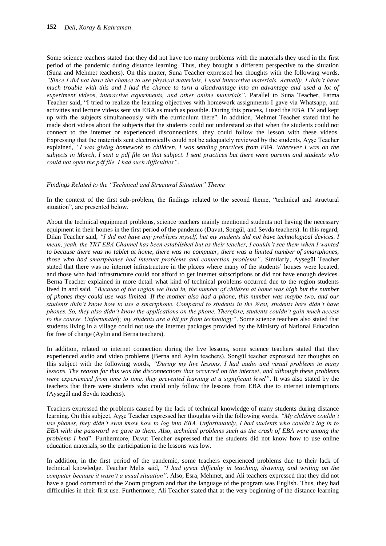Some science teachers stated that they did not have too many problems with the materials they used in the first period of the pandemic during distance learning. Thus, they brought a different perspective to the situation (Suna and Mehmet teachers). On this matter, Suna Teacher expressed her thoughts with the following words, *"Since I did not have the chance to use physical materials, I used interactive materials. Actually, I didn't have much trouble with this and I had the chance to turn a disadvantage into an advantage and used a lot of experiment videos, interactive experiments, and other online materials"*. Parallel to Suna Teacher, Fatma Teacher said, "I tried to realize the learning objectives with homework assignments I gave via Whatsapp, and activities and lecture videos sent via EBA as much as possible. During this process, I used the EBA TV and kept up with the subjects simultaneously with the curriculum there". In addition, Mehmet Teacher stated that he made short videos about the subjects that the students could not understand so that when the students could not connect to the internet or experienced disconnections, they could follow the lesson with these videos. Expressing that the materials sent electronically could not be adequately reviewed by the students, Ayşe Teacher explained, *"I was giving homework to children, I was sending practices from EBA. Wherever I was on the subjects in March, I sent a pdf file on that subject. I sent practices but there were parents and students who could not open the pdf file. I had such difficulties"*.

## *Findings Related to the "Technical and Structural Situation" Theme*

In the context of the first sub-problem, the findings related to the second theme, "technical and structural situation", are presented below.

About the technical equipment problems, science teachers mainly mentioned students not having the necessary equipment in their homes in the first period of the pandemic (Davut, Songül, and Sevda teachers). In this regard, Dilan Teacher said, *"I did not have any problems myself, but my students did not have technological devices. I mean, yeah, the TRT EBA Channel has been established but as their teacher, I couldn't see them when I wanted to because there was no tablet at home, there was no computer, there was a limited number of smartphones, those who had smartphones had internet problems and connection problems"*. Similarly, Ayşegül Teacher stated that there was no internet infrastructure in the places where many of the students' houses were located, and those who had infrastructure could not afford to get internet subscriptions or did not have enough devices. Berna Teacher explained in more detail what kind of technical problems occurred due to the region students lived in and said, *"Because of the region we lived in, the number of children at home was high but the number of phones they could use was limited. If the mother also had a phone, this number was maybe two, and our students didn't know how to use a smartphone. Compared to students in the West, students here didn't have phones. So, they also didn't know the applications on the phone. Therefore, students couldn't gain much access to the course. Unfortunately, my students are a bit far from technology"*. Some science teachers also stated that students living in a village could not use the internet packages provided by the Ministry of National Education for free of charge (Aylin and Berna teachers).

In addition, related to internet connection during the live lessons, some science teachers stated that they experienced audio and video problems (Berna and Aylin teachers). Songül teacher expressed her thoughts on this subject with the following words, *"During my live lessons, I had audio and visual problems in many lessons. The reason for this was the disconnections that occurred on the internet, and although these problems were experienced from time to time, they prevented learning at a significant level"*. It was also stated by the teachers that there were students who could only follow the lessons from EBA due to internet interruptions (Ayşegül and Sevda teachers).

Teachers expressed the problems caused by the lack of technical knowledge of many students during distance learning. On this subject, Ayşe Teacher expressed her thoughts with the following words, *"My children couldn't use phones, they didn't even know how to log into EBA. Unfortunately, I had students who couldn't log in to EBA with the password we gave to them. Also, technical problems such as the crash of EBA were among the problems I had*". Furthermore, Davut Teacher expressed that the students did not know how to use online education materials, so the participation in the lessons was low.

In addition, in the first period of the pandemic, some teachers experienced problems due to their lack of technical knowledge. Teacher Melis said, *"I had great difficulty in teaching, drawing, and writing on the computer because it wasn't a usual situation"*. Also, Esra, Mehmet, and Ali teachers expressed that they did not have a good command of the Zoom program and that the language of the program was English. Thus, they had difficulties in their first use. Furthermore, Ali Teacher stated that at the very beginning of the distance learning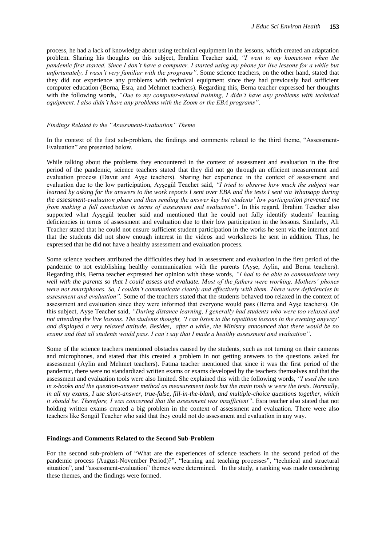process, he had a lack of knowledge about using technical equipment in the lessons, which created an adaptation problem. Sharing his thoughts on this subject, İbrahim Teacher said, *"I went to my hometown when the pandemic first started. Since I don't have a computer, I started using my phone for live lessons for a while but unfortunately, I wasn't very familiar with the programs"*. Some science teachers, on the other hand, stated that they did not experience any problems with technical equipment since they had previously had sufficient computer education (Berna, Esra, and Mehmet teachers). Regarding this, Berna teacher expressed her thoughts with the following words, *"Due to my computer-related training, I didn't have any problems with technical equipment. I also didn't have any problems with the Zoom or the EBA programs"*.

#### *Findings Related to the "Assessment-Evaluation" Theme*

In the context of the first sub-problem, the findings and comments related to the third theme, "Assessment-Evaluation" are presented below.

While talking about the problems they encountered in the context of assessment and evaluation in the first period of the pandemic, science teachers stated that they did not go through an efficient measurement and evaluation process (Davut and Ayşe teachers). Sharing her experience in the context of assessment and evaluation due to the low participation, Ayşegül Teacher said, *"I tried to observe how much the subject was learned by asking for the answers to the work reports I sent over EBA and the tests I sent via Whatsapp during the assessment-evaluation phase and then sending the answer key but students' low participation prevented me from making a full conclusion in terms of assessment and evaluation"*. In this regard, İbrahim Teacher also supported what Ayşegül teacher said and mentioned that he could not fully identify students' learning deficiencies in terms of assessment and evaluation due to their low participation in the lessons. Similarly, Ali Teacher stated that he could not ensure sufficient student participation in the works he sent via the internet and that the students did not show enough interest in the videos and worksheets he sent in addition. Thus, he expressed that he did not have a healthy assessment and evaluation process.

Some science teachers attributed the difficulties they had in assessment and evaluation in the first period of the pandemic to not establishing healthy communication with the parents (Ayşe, Aylin, and Berna teachers). Regarding this, Berna teacher expressed her opinion with these words, *"I had to be able to communicate very well with the parents so that I could assess and evaluate. Most of the fathers were working. Mothers' phones were not smartphones. So, I couldn't communicate clearly and effectively with them. There were deficiencies in assessment and evaluation"*. Some of the teachers stated that the students behaved too relaxed in the context of assessment and evaluation since they were informed that everyone would pass (Berna and Ayşe teachers). On this subject, Ayşe Teacher said, *"During distance learning, I generally had students who were too relaxed and not attending the live lessons. The students thought, 'I can listen to the repetition lessons in the evening anyway' and displayed a very relaxed attitude. Besides, after a while, the Ministry announced that there would be no exams and that all students would pass. I can't say that I made a healthy assessment and evaluation"*.

Some of the science teachers mentioned obstacles caused by the students, such as not turning on their cameras and microphones, and stated that this created a problem in not getting answers to the questions asked for assessment (Aylin and Mehmet teachers). Fatma teacher mentioned that since it was the first period of the pandemic, there were no standardized written exams or exams developed by the teachers themselves and that the assessment and evaluation tools were also limited. She explained this with the following words, *"I used the tests in z-books and the question-answer method as measurement tools but the main tools w were the tests. Normally, in all my exams, I use short-answer, true-false, fill-in-the-blank, and multiple-choice questions together, which it should be. Therefore, I was concerned that the assessment was insufficient"*. Esra teacher also stated that not holding written exams created a big problem in the context of assessment and evaluation. There were also teachers like Songül Teacher who said that they could not do assessment and evaluation in any way.

#### **Findings and Comments Related to the Second Sub-Problem**

For the second sub-problem of "What are the experiences of science teachers in the second period of the pandemic process (August-November Period)?", "learning and teaching processes", "technical and structural situation", and "assessment-evaluation" themes were determined. In the study, a ranking was made considering these themes, and the findings were formed.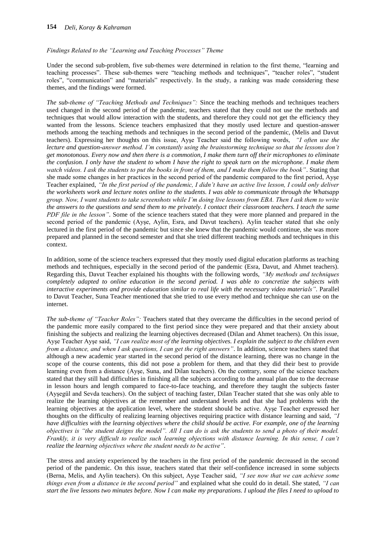#### *Findings Related to the "Learning and Teaching Processes" Theme*

Under the second sub-problem, five sub-themes were determined in relation to the first theme, "learning and teaching processes". These sub-themes were "teaching methods and techniques", "teacher roles", "student roles", "communication" and "materials" respectively. In the study, a ranking was made considering these themes, and the findings were formed.

*The sub-theme of "Teaching Methods and Techniques":* Since the teaching methods and techniques teachers used changed in the second period of the pandemic, teachers stated that they could not use the methods and techniques that would allow interaction with the students, and therefore they could not get the efficiency they wanted from the lessons. Science teachers emphasized that they mostly used lecture and question-answer methods among the teaching methods and techniques in the second period of the pandemic, (Melis and Davut teachers). Expressing her thoughts on this issue, Ayşe Teacher said the following words, *"I often use the lecture and question-answer method. I'm constantly using the brainstorming technique so that the lessons don't get monotonous. Every now and then there is a commotion, I make them turn off their microphones to eliminate the confusion. I only have the student to whom I have the right to speak turn on the microphone. I make them watch videos. I ask the students to put the books in front of them, and I make them follow the book"*. Stating that she made some changes in her practices in the second period of the pandemic compared to the first period, Ayşe Teacher explained, *"In the first period of the pandemic, I didn't have an active live lesson, I could only deliver the worksheets work and lecture notes online to the students. I was able to communicate through the Whatsapp group. Now, I want students to take screenshots while I'm doing live lessons from EBA. Then I ask them to write the answers to the questions and send them to me privately. I contact their classroom teachers. I teach the same PDF file in the lesson"*. Some of the science teachers stated that they were more planned and prepared in the second period of the pandemic (Ayşe, Aylin, Esra, and Davut teachers). Aylin teacher stated that she only lectured in the first period of the pandemic but since she knew that the pandemic would continue, she was more prepared and planned in the second semester and that she tried different teaching methods and techniques in this context.

In addition, some of the science teachers expressed that they mostly used digital education platforms as teaching methods and techniques, especially in the second period of the pandemic (Esra, Davut, and Ahmet teachers). Regarding this, Davut Teacher explained his thoughts with the following words, *"My methods and techniques completely adapted to online education in the second period. I was able to concretize the subjects with interactive experiments and provide education similar to real life with the necessary video materials"*. Parallel to Davut Teacher, Suna Teacher mentioned that she tried to use every method and technique she can use on the internet.

*The sub-theme of "Teacher Roles":* Teachers stated that they overcame the difficulties in the second period of the pandemic more easily compared to the first period since they were prepared and that their anxiety about finishing the subjects and realizing the learning objectives decreased (Dilan and Ahmet teachers). On this issue, Ayşe Teacher Ayşe said, *"I can realize most of the learning objectives. I explain the subject to the children even from a distance, and when I ask questions, I can get the right answers"*. In addition, science teachers stated that although a new academic year started in the second period of the distance learning, there was no change in the scope of the course contents, this did not pose a problem for them, and that they did their best to provide learning even from a distance (Ayşe, Suna, and Dilan teachers). On the contrary, some of the science teachers stated that they still had difficulties in finishing all the subjects according to the annual plan due to the decrease in lesson hours and length compared to face-to-face teaching, and therefore they taught the subjects faster (Ayşegül and Sevda teachers). On the subject of teaching faster, Dilan Teacher stated that she was only able to realize the learning objectives at the remember and understand levels and that she had problems with the learning objectives at the application level, where the student should be active. Ayşe Teacher expressed her thoughts on the difficulty of realizing learning objectives requiring practice with distance learning and said, *"I have difficulties with the learning objectives where the child should be active. For example, one of the learning objectives is "the student deigns the model". All I can do is ask the students to send a photo of their model. Frankly, it is very difficult to realize such learning objections with distance learning. In this sense, I can't realize the learning objectives where the student needs to be active"*.

The stress and anxiety experienced by the teachers in the first period of the pandemic decreased in the second period of the pandemic. On this issue, teachers stated that their self-confidence increased in some subjects (Berna, Melis, and Aylin teachers). On this subject, Ayşe Teacher said, *"I see now that we can achieve some things even from a distance in the second period"* and explained what she could do in detail. She stated, *"I can start the live lessons two minutes before. Now I can make my preparations. I upload the files I need to upload to*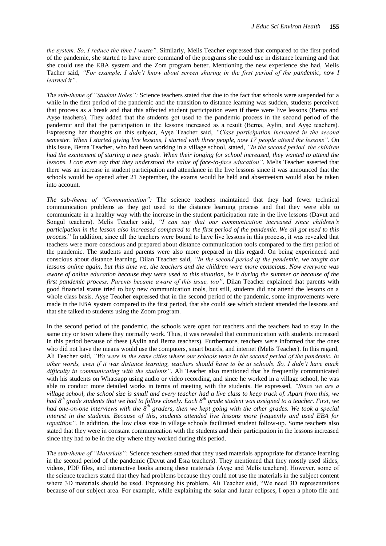*the system. So, I reduce the time I waste"*. Similarly, Melis Teacher expressed that compared to the first period of the pandemic, she started to have more command of the programs she could use in distance learning and that she could use the EBA system and the Zom program better. Mentioning the new experience she had, Melis Tacher said, *"For example, I didn't know about screen sharing in the first period of the pandemic, now I learned it"*.

*The sub-theme of "Student Roles":* Science teachers stated that due to the fact that schools were suspended for a while in the first period of the pandemic and the transition to distance learning was sudden, students perceived that process as a break and that this affected student participation even if there were live lessons (Berna and Ayşe teachers). They added that the students got used to the pandemic process in the second period of the pandemic and that the participation in the lessons increased as a result (Berna, Aylin, and Ayşe teachers). Expressing her thoughts on this subject, Ayşe Teacher said, *"Class participation increased in the second semester. When I started giving live lessons, I started with three people, now 17 people attend the lessons"*. On this issue, Berna Teacher, who had been working in a village school, stated, *"In the second period, the children had the excitement of starting a new grade. When their longing for school increased, they wanted to attend the lessons. I can even say that they understood the value of face-to-face education"*. Melis Teacher asserted that there was an increase in student participation and attendance in the live lessons since it was announced that the schools would be opened after 21 September, the exams would be held and absenteeism would also be taken into account.

*The sub-theme of "Communication":* The science teachers maintained that they had fewer technical communication problems as they got used to the distance learning process and that they were able to communicate in a healthy way with the increase in the student participation rate in the live lessons (Davut and Songül teachers). Melis Teacher said, *"I can say that our communication increased since children's participation in the lesson also increased compared to the first period of the pandemic. We all got used to this process.*" In addition, since all the teachers were bound to have live lessons in this process, it was revealed that teachers were more conscious and prepared about distance communication tools compared to the first period of the pandemic. The students and parents were also more prepared in this regard. On being experienced and conscious about distance learning, Dilan Teacher said, *"In the second period of the pandemic, we taught our lessons online again, but this time we, the teachers and the children were more conscious. Now everyone was aware of online education because they were used to this situation, be it during the summer or because of the first pandemic process. Parents became aware of this issue, too"*. Dilan Teacher explained that parents with good financial status tried to buy new communication tools, but still, students did not attend the lessons on a whole class basis. Ayşe Teacher expressed that in the second period of the pandemic, some improvements were made in the EBA system compared to the first period, that she could see which student attended the lessons and that she talked to students using the Zoom program.

In the second period of the pandemic, the schools were open for teachers and the teachers had to stay in the same city or town where they normally work. Thus, it was revealed that communication with students increased in this period because of these (Aylin and Berna teachers). Furthermore, teachers were informed that the ones who did not have the means would use the computers, smart boards, and internet (Melis Teacher). In this regard, Ali Teacher said, *"We were in the same cities where our schools were in the second period of the pandemic. In other words, even if it was distance learning, teachers should have to be at schools. So, I didn't have much difficulty in communicating with the students"*. Ali Teacher also mentioned that he frequently communicated with his students on Whatsapp using audio or video recording, and since he worked in a village school, he was able to conduct more detailed works in terms of meeting with the students. He expressed, *"Since we are a village school, the school size is small and every teacher had a live class to keep track of. Apart from this, we had 8th grade students that we had to follow closely. Each 8th grade student was assigned to a teacher. First, we had one-on-one interviews with the 8th graders, then we kept going with the other grades. We took a special interest in the students. Because of this, students attended live lessons more frequently and used EBA for repetition"*. In addition, the low class size in village schools facilitated student follow-up. Some teachers also stated that they were in constant communication with the students and their participation in the lessons increased since they had to be in the city where they worked during this period.

*The sub-theme of "Materials":* Science teachers stated that they used materials appropriate for distance learning in the second period of the pandemic (Davut and Esra teachers). They mentioned that they mostly used slides, videos, PDF files, and interactive books among these materials (Ayşe and Melis teachers). However, some of the science teachers stated that they had problems because they could not use the materials in the subject content where 3D materials should be used. Expressing his problem, Ali Teacher said, "We need 3D representations because of our subject area. For example, while explaining the solar and lunar eclipses, I open a photo file and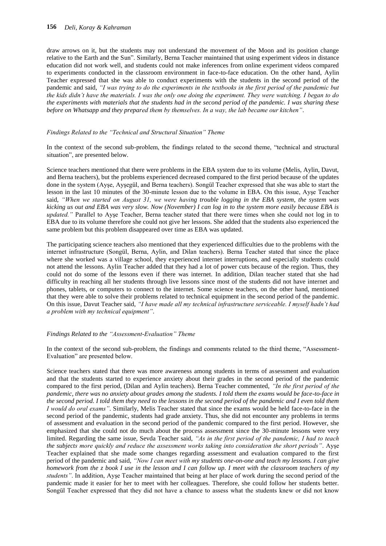draw arrows on it, but the students may not understand the movement of the Moon and its position change relative to the Earth and the Sun". Similarly, Berna Teacher maintained that using experiment videos in distance education did not work well, and students could not make inferences from online experiment videos compared to experiments conducted in the classroom environment in face-to-face education. On the other hand, Aylin Teacher expressed that she was able to conduct experiments with the students in the second period of the pandemic and said, *"I was trying to do the experiments in the textbooks in the first period of the pandemic but the kids didn't have the materials. I was the only one doing the experiment. They were watching. I began to do the experiments with materials that the students had in the second period of the pandemic. I was sharing these before on Whatsapp and they prepared them by themselves. In a way, the lab became our kitchen"*.

#### *Findings Related to the "Technical and Structural Situation" Theme*

In the context of the second sub-problem, the findings related to the second theme, "technical and structural situation", are presented below.

Science teachers mentioned that there were problems in the EBA system due to its volume (Melis, Aylin, Davut, and Berna teachers), but the problems experienced decreased compared to the first period because of the updates done in the system (Ayşe, Ayşegül, and Berna teachers). Songül Teacher expressed that she was able to start the lesson in the last 10 minutes of the 30-minute lesson due to the volume in EBA. On this issue, Ayşe Teacher said, *"When we started on August 31, we were having trouble logging in the EBA system, the system was kicking us out and EBA was very slow. Now (November) I can log in to the system more easily because EBA is updated."* Parallel to Ayşe Teacher, Berna teacher stated that there were times when she could not log in to EBA due to its volume therefore she could not give her lessons. She added that the students also experienced the same problem but this problem disappeared over time as EBA was updated.

The participating science teachers also mentioned that they experienced difficulties due to the problems with the internet infrastructure (Songül, Berna, Aylin, and Dilan teachers). Berna Teacher stated that since the place where she worked was a village school, they experienced internet interruptions, and especially students could not attend the lessons. Aylin Teacher added that they had a lot of power cuts because of the region. Thus, they could not do some of the lessons even if there was internet. In addition, Dilan teacher stated that she had difficulty in reaching all her students through live lessons since most of the students did not have internet and phones, tablets, or computers to connect to the internet. Some science teachers, on the other hand, mentioned that they were able to solve their problems related to technical equipment in the second period of the pandemic. On this issue, Davut Teacher said, *"I have made all my technical infrastructure serviceable. I myself hadn't had a problem with my technical equipment"*.

#### *Findings Related to the "Assessment-Evaluation" Theme*

In the context of the second sub-problem, the findings and comments related to the third theme, "Assessment-Evaluation" are presented below.

Science teachers stated that there was more awareness among students in terms of assessment and evaluation and that the students started to experience anxiety about their grades in the second period of the pandemic compared to the first period, (Dilan and Aylin teachers). Berna Teacher commented, *"In the first period of the pandemic, there was no anxiety about grades among the students. I told them the exams would be face-to-face in the second period. I told them they need to the lessons in the second period of the pandemic and I even told them I would do oral exams"*. Similarly, Melis Teacher stated that since the exams would be held face-to-face in the second period of the pandemic, students had grade anxiety. Thus, she did not encounter any problems in terms of assessment and evaluation in the second period of the pandemic compared to the first period. However, she emphasized that she could not do much about the process assessment since the 30-minute lessons were very limited. Regarding the same issue, Sevda Teacher said, *"As in the first period of the pandemic, I had to teach the subjects more quickly and reduce the assessment works taking into consideration the short periods"*. Ayşe Teacher explained that she made some changes regarding assessment and evaluation compared to the first period of the pandemic and said, *"Now I can meet with my students one-on-one and teach my lessons. I can give homework from the z book I use in the lesson and I can follow up. I meet with the classroom teachers of my students"*. In addition, Ayşe Teacher maintained that being at her place of work during the second period of the pandemic made it easier for her to meet with her colleagues. Therefore, she could follow her students better. Songül Teacher expressed that they did not have a chance to assess what the students knew or did not know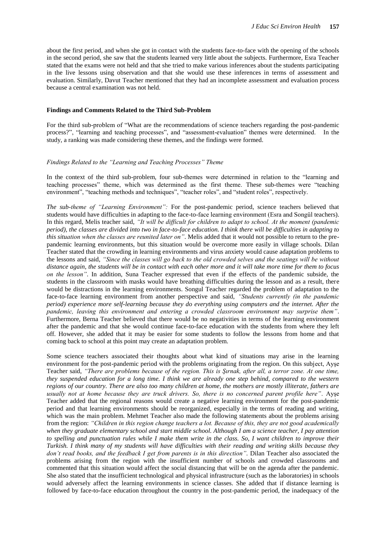about the first period, and when she got in contact with the students face-to-face with the opening of the schools in the second period, she saw that the students learned very little about the subjects. Furthermore, Esra Teacher stated that the exams were not held and that she tried to make various inferences about the students participating in the live lessons using observation and that she would use these inferences in terms of assessment and evaluation. Similarly, Davut Teacher mentioned that they had an incomplete assessment and evaluation process because a central examination was not held.

#### **Findings and Comments Related to the Third Sub-Problem**

For the third sub-problem of "What are the recommendations of science teachers regarding the post-pandemic process?", "learning and teaching processes", and "assessment-evaluation" themes were determined. In the study, a ranking was made considering these themes, and the findings were formed.

#### *Findings Related to the "Learning and Teaching Processes" Theme*

In the context of the third sub-problem, four sub-themes were determined in relation to the "learning and teaching processes" theme, which was determined as the first theme. These sub-themes were "teaching environment", "teaching methods and techniques", "teacher roles", and "student roles", respectively.

*The sub-theme of "Learning Environment":* For the post-pandemic period, science teachers believed that students would have difficulties in adapting to the face-to-face learning environment (Esra and Songül teachers). In this regard, Melis teacher said, *"It will be difficult for children to adapt to school. At the moment (pandemic period), the classes are divided into two in face-to-face education. I think there will be difficulties in adapting to this situation when the classes are reunited later on"*. Melis added that it would not possible to return to the prepandemic learning environments, but this situation would be overcome more easily in village schools. Dilan Teacher stated that the crowding in learning environments and virus anxiety would cause adaptation problems to the lessons and said, *"Since the classes will go back to the old crowded selves and the seatings will be without distance again, the students will be in contact with each other more and it will take more time for them to focus on the lesson"*. In addition, Suna Teacher expressed that even if the effects of the pandemic subside, the students in the classroom with masks would have breathing difficulties during the lesson and as a result, there would be distractions in the learning environments. Songul Teacher regarded the problem of adaptation to the face-to-face learning environment from another perspective and said, *"Students currently (in the pandemic period) experience more self-learning because they do everything using computers and the internet. After the pandemic, leaving this environment and entering a crowded classroom environment may surprise them"*. Furthermore, Berna Teacher believed that there would be no negativities in terms of the learning environment after the pandemic and that she would continue face-to-face education with the students from where they left off. However, she added that it may be easier for some students to follow the lessons from home and that coming back to school at this point may create an adaptation problem.

Some science teachers associated their thoughts about what kind of situations may arise in the learning environment for the post-pandemic period with the problems originating from the region. On this subject, Ayşe Teacher said, *"There are problems because of the region. This is Şırnak, after all, a terror zone. At one time, they suspended education for a long time. I think we are already one step behind, compared to the western regions of our country. There are also too many children at home, the mothers are mostly illiterate, fathers are usually not at home because they are truck drivers. So, there is no concerned parent profile here"*. Ayşe Teacher added that the regional reasons would create a negative learning environment for the post-pandemic period and that learning environments should be reorganized, especially in the terms of reading and writing, which was the main problem. Mehmet Teacher also made the following statements about the problems arising from the region: *"Children in this region change teachers a lot. Because of this, they are not good academically when they graduate elementary school and start middle school. Although I am a science teacher, I pay attention to spelling and punctuation rules while I make them write in the class. So, I want children to improve their Turkish. I think many of my students will have difficulties with their reading and writing skills because they don't read books, and the feedback I get from parents is in this direction"*. Dilan Teacher also associated the problems arising from the region with the insufficient number of schools and crowded classrooms and commented that this situation would affect the social distancing that will be on the agenda after the pandemic. She also stated that the insufficient technological and physical infrastructure (such as the laboratories) in schools would adversely affect the learning environments in science classes. She added that if distance learning is followed by face-to-face education throughout the country in the post-pandemic period, the inadequacy of the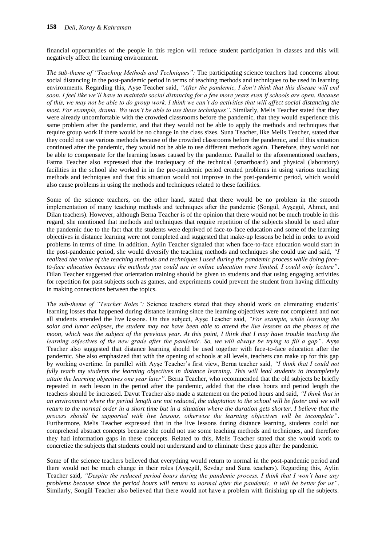financial opportunities of the people in this region will reduce student participation in classes and this will negatively affect the learning environment.

*The sub-theme of "Teaching Methods and Techniques":* The participating science teachers had concerns about social distancing in the post-pandemic period in terms of teaching methods and techniques to be used in learning environments. Regarding this, Ayşe Teacher said, *"After the pandemic, I don't think that this disease will end soon. I feel like we'll have to maintain social distancing for a few more years even if schools are open. Because of this, we may not be able to do group work. I think we can't do activities that will affect social distancing the most. For example, drama. We won't be able to use these techniques"*. Similarly, Melis Teacher stated that they were already uncomfortable with the crowded classrooms before the pandemic, that they would experience this same problem after the pandemic, and that they would not be able to apply the methods and techniques that require group work if there would be no change in the class sizes. Suna Teacher, like Melis Teacher, stated that they could not use various methods because of the crowded classrooms before the pandemic, and if this situation continued after the pandemic, they would not be able to use different methods again. Therefore, they would not be able to compensate for the learning losses caused by the pandemic. Parallel to the aforementioned teachers, Fatma Teacher also expressed that the inadequacy of the technical (smartboard) and physical (laboratory) facilities in the school she worked in in the pre-pandemic period created problems in using various teaching methods and techniques and that this situation would not improve in the post-pandemic period, which would also cause problems in using the methods and techniques related to these facilities.

Some of the science teachers, on the other hand, stated that there would be no problem in the smooth implementation of many teaching methods and techniques after the pandemic (Songül, Ayşegül, Ahmet, and Dilan teachers). However, although Berna Teacher is of the opinion that there would not be much trouble in this regard, she mentioned that methods and techniques that require repetition of the subjects should be used after the pandemic due to the fact that the students were deprived of face-to-face education and some of the learning objectives in distance learning were not completed and suggested that make-up lessons be held in order to avoid problems in terms of time. In addition, Aylin Teacher signaled that when face-to-face education would start in the post-pandemic period, she would diversify the teaching methods and techniques she could use and said, *"I realized the value of the teaching methods and techniques I used during the pandemic process while doing faceto-face education because the methods you could use in online education were limited, I could only lecture"*. Dilan Teacher suggested that orientation training should be given to students and that using engaging activities for repetition for past subjects such as games, and experiments could prevent the student from having difficulty in making connections between the topics.

*The sub-theme of "Teacher Roles":* Science teachers stated that they should work on eliminating students' learning losses that happened during distance learning since the learning objectives were not completed and not all students attended the live lessons. On this subject, Ayşe Teacher said, *"For example, while learning the solar and lunar eclipses, the student may not have been able to attend the live lessons on the phases of the moon, which was the subject of the previous year. At this point, I think that I may have trouble teaching the learning objectives of the new grade after the pandemic. So, we will always be trying to fill a gap"*. Ayşe Teacher also suggested that distance learning should be used together with face-to-face education after the pandemic. She also emphasized that with the opening of schools at all levels, teachers can make up for this gap by working overtime. In parallel with Ayşe Teacher's first view, Berna teacher said, *"I think that I could not fully teach my students the learning objectives in distance learning. This will lead students to incompletely attain the learning objectives one year later"*. Berna Teacher, who recommended that the old subjects be briefly repeated in each lesson in the period after the pandemic, added that the class hours and period length the teachers should be increased. Davut Teacher also made a statement on the period hours and said, *"I think that in an environment where the period length are not reduced, the adaptation to the school will be faster and we will return to the normal order in a short time but in a situation where the duration gets shorter, I believe that the process should be supported with live lessons, otherwise the learning objectives will be incomplete"*. Furthermore, Melis Teacher expressed that in the live lessons during distance learning, students could not comprehend abstract concepts because she could not use some teaching methods and techniques, and therefore they had information gaps in these concepts. Related to this, Melis Teacher stated that she would work to concretize the subjects that students could not understand and to eliminate these gaps after the pandemic.

Some of the science teachers believed that everything would return to normal in the post-pandemic period and there would not be much change in their roles (Ayşegül, Sevda,r and Suna teachers). Regarding this, Aylin Teacher said, *"Despite the reduced period hours during the pandemic process, I think that I won't have any problems because since the period hours will return to normal after the pandemic, it will be better for us"*. Similarly, Songül Teacher also believed that there would not have a problem with finishing up all the subjects.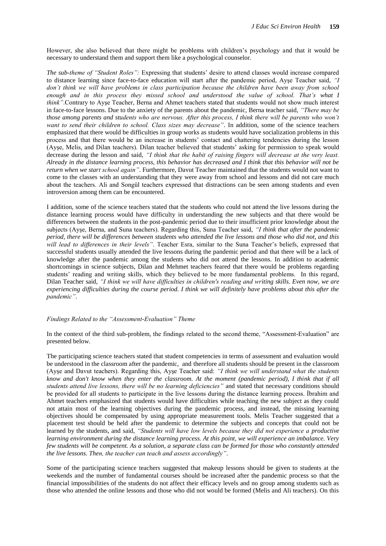However, she also believed that there might be problems with children's psychology and that it would be necessary to understand them and support them like a psychological counselor.

*The sub-theme of "Student Roles":* Expressing that students' desire to attend classes would increase compared to distance learning since face-to-face education will start after the pandemic period, Ayşe Teacher said, *"I don't think we will have problems in class participation because the children have been away from school enough and in this process they missed school and understood the value of school. That's what I think"*.Contrary to Ayşe Teacher, Berna and Ahmet teachers stated that students would not show much interest in face-to-face lessons. Due to the anxiety of the parents about the pandemic, Berna teacher said, *"There may be those among parents and students who are nervous. After this process, I think there will be parents who won't want to send their children to school. Class sizes may decrease"*. In addition, some of the science teachers emphasized that there would be difficulties in group works as students would have socialization problems in this process and that there would be an increase in students' contact and chattering tendencies during the lesson (Ayşe, Melis, and Dilan teachers). Dilan teacher believed that students' asking for permission to speak would decrease during the lesson and said, *"I think that the habit of raising fingers will decrease at the very least. Already in the distance learning process, this behavior has decreased and I think that this behavior will not be return when we start school again"*. Furthermore, Davut Teacher maintained that the students would not want to come to the classes with an understanding that they were away from school and lessons and did not care much about the teachers. Ali and Songül teachers expressed that distractions can be seen among students and even introversion among them can be encountered.

I addition, some of the science teachers stated that the students who could not attend the live lessons during the distance learning process would have difficulty in understanding the new subjects and that there would be differences between the students in the post-pandemic period due to their insufficient prior knowledge about the subjects (Ayşe, Berna, and Suna teachers). Regarding this, Suna Teacher said, *"I think that after the pandemic period, there will be differences between students who attended the live lessons and those who did not, and this will lead to differences in their levels"*. Teacher Esra, similar to the Suna Teacher's beliefs, expressed that successful students usually attended the live lessons during the pandemic period and that there will be a lack of knowledge after the pandemic among the students who did not attend the lessons. In addition to academic shortcomings in science subjects, Dilan and Mehmet teachers feared that there would be problems regarding students' reading and writing skills, which they believed to be more fundamental problems. In this regard, Dilan Teacher said, *"I think we will have difficulties in children's reading and writing skills. Even now, we are experiencing difficulties during the course period. I think we will definitely have problems about this after the pandemic"*.

#### *Findings Related to the "Assessment-Evaluation" Theme*

In the context of the third sub-problem, the findings related to the second theme, "Assessment-Evaluation" are presented below.

The participating science teachers stated that student competencies in terms of assessment and evaluation would be understood in the classroom after the pandemic, and therefore all students should be present in the classroom (Ayşe and Davut teachers). Regarding this, Ayşe Teacher said: *"I think we will understand what the students know and don't know when they enter the classroom. At the moment (pandemic period), I think that if all students attend live lessons, there will be no learning deficiencies"* and stated that necessary conditions should be provided for all students to participate in the live lessons during the distance learning process. İbrahim and Ahmet teachers emphasized that students would have difficulties while teaching the new subject as they could not attain most of the learning objectives during the pandemic process, and instead, the missing learning objectives should be compensated by using appropriate measurement tools. Melis Teacher suggested that a placement test should be held after the pandemic to determine the subjects and concepts that could not be learned by the students, and said, *"Students will have low levels because they did not experience a productive learning environment during the distance learning process. At this point, we will experience an imbalance. Very few students will be competent. As a solution, a separate class can be formed for those who constantly attended the live lessons. Then, the teacher can teach and assess accordingly"*.

Some of the participating science teachers suggested that makeup lessons should be given to students at the weekends and the number of fundamental courses should be increased after the pandemic process so that the financial impossibilities of the students do not affect their efficacy levels and no group among students such as those who attended the online lessons and those who did not would be formed (Melis and Ali teachers). On this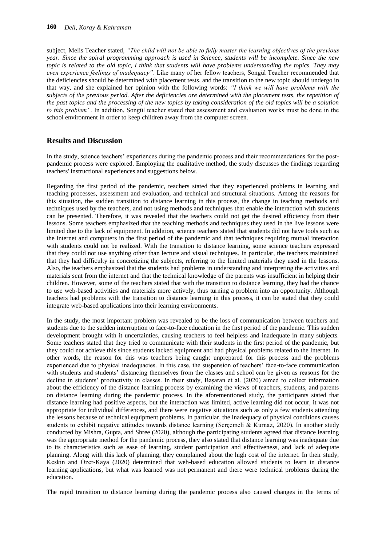subject, Melis Teacher stated, *"The child will not be able to fully master the learning objectives of the previous year. Since the spiral programming approach is used in Science, students will be incomplete. Since the new topic is related to the old topic, I think that students will have problems understanding the topics. They may even experience feelings of inadequacy"*. Like many of her fellow teachers, Songül Teacher recommended that the deficiencies should be determined with placement tests, and the transition to the new topic should undergo in that way, and she explained her opinion with the following words: *"I think we will have problems with the subjects of the previous period. After the deficiencies are determined with the placement tests, the repetition of the past topics and the processing of the new topics by taking consideration of the old topics will be a solution to this problem"*. In addition, Songül teacher stated that assessment and evaluation works must be done in the school environment in order to keep children away from the computer screen.

# **Results and Discussion**

In the study, science teachers' experiences during the pandemic process and their recommendations for the postpandemic process were explored. Employing the qualitative method, the study discusses the findings regarding teachers' instructional experiences and suggestions below.

Regarding the first period of the pandemic, teachers stated that they experienced problems in learning and teaching processes, assessment and evaluation, and technical and structural situations. Among the reasons for this situation, the sudden transition to distance learning in this process, the change in teaching methods and techniques used by the teachers, and not using methods and techniques that enable the interaction with students can be presented. Therefore, it was revealed that the teachers could not get the desired efficiency from their lessons. Some teachers emphasized that the teaching methods and techniques they used in the live lessons were limited due to the lack of equipment. In addition, science teachers stated that students did not have tools such as the internet and computers in the first period of the pandemic and that techniques requiring mutual interaction with students could not be realized. With the transition to distance learning, some science teachers expressed that they could not use anything other than lecture and visual techniques. In particular, the teachers maintained that they had difficulty in concretizing the subjects, referring to the limited materials they used in the lessons. Also, the teachers emphasized that the students had problems in understanding and interpreting the activities and materials sent from the internet and that the technical knowledge of the parents was insufficient in helping their children. However, some of the teachers stated that with the transition to distance learning, they had the chance to use web-based activities and materials more actively, thus turning a problem into an opportunity. Although teachers had problems with the transition to distance learning in this process, it can be stated that they could integrate web-based applications into their learning environments.

In the study, the most important problem was revealed to be the loss of communication between teachers and students due to the sudden interruption to face-to-face education in the first period of the pandemic. This sudden development brought with it uncertainties, causing teachers to feel helpless and inadequate in many subjects. Some teachers stated that they tried to communicate with their students in the first period of the pandemic, but they could not achieve this since students lacked equipment and had physical problems related to the Internet. In other words, the reason for this was teachers being caught unprepared for this process and the problems experienced due to physical inadequacies. In this case, the suspension of teachers' face-to-face communication with students and students' distancing themselves from the classes and school can be given as reasons for the decline in students' productivity in classes. In their study, Başaran et al. (2020) aimed to collect information about the efficiency of the distance learning process by examining the views of teachers, students, and parents on distance learning during the pandemic process. In the aforementioned study, the participants stated that distance learning had positive aspects, but the interaction was limited, active learning did not occur, it was not appropriate for individual differences, and there were negative situations such as only a few students attending the lessons because of technical equipment problems. In particular, the inadequacy of physical conditions causes students to exhibit negative attitudes towards distance learning (Serçemeli & Kurnaz, 2020). In another study conducted by Mishra, Gupta, and Shree (2020), although the participating students agreed that distance learning was the appropriate method for the pandemic process, they also stated that distance learning was inadequate due to its characteristics such as ease of learning, student participation and effectiveness, and lack of adequate planning. Along with this lack of planning, they complained about the high cost of the internet. In their study, Keskin and Özer-Kaya (2020) determined that web-based education allowed students to learn in distance learning applications, but what was learned was not permanent and there were technical problems during the education.

The rapid transition to distance learning during the pandemic process also caused changes in the terms of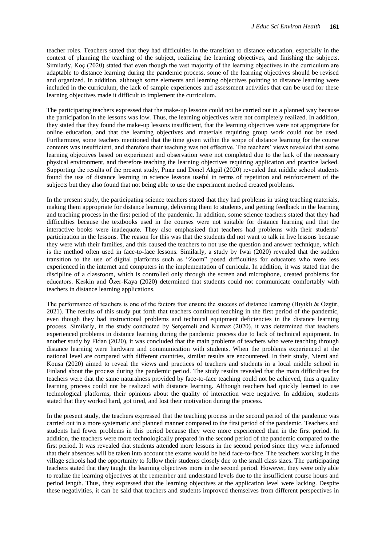teacher roles. Teachers stated that they had difficulties in the transition to distance education, especially in the context of planning the teaching of the subject, realizing the learning objectives, and finishing the subjects. Similarly, Koç (2020) stated that even though the vast majority of the learning objectives in the curriculum are adaptable to distance learning during the pandemic process, some of the learning objectives should be revised and organized. In addition, although some elements and learning objectives pointing to distance learning were included in the curriculum, the lack of sample experiences and assessment activities that can be used for these learning objectives made it difficult to implement the curriculum.

The participating teachers expressed that the make-up lessons could not be carried out in a planned way because the participation in the lessons was low. Thus, the learning objectives were not completely realized. In addition, they stated that they found the make-up lessons insufficient, that the learning objectives were not appropriate for online education, and that the learning objectives and materials requiring group work could not be used. Furthermore, some teachers mentioned that the time given within the scope of distance learning for the course contents was insufficient, and therefore their teaching was not effective. The teachers' views revealed that some learning objectives based on experiment and observation were not completed due to the lack of the necessary physical environment, and therefore teaching the learning objectives requiring application and practice lacked. Supporting the results of the present study, Pınar and Dönel Akgül (2020) revealed that middle school students found the use of distance learning in science lessons useful in terms of repetition and reinforcement of the subjects but they also found that not being able to use the experiment method created problems.

In the present study, the participating science teachers stated that they had problems in using teaching materials, making them appropriate for distance learning, delivering them to students, and getting feedback in the learning and teaching process in the first period of the pandemic. In addition, some science teachers stated that they had difficulties because the textbooks used in the courses were not suitable for distance learning and that the interactive books were inadequate. They also emphasized that teachers had problems with their students' participation in the lessons. The reason for this was that the students did not want to talk in live lessons because they were with their families, and this caused the teachers to not use the question and answer technique, which is the method often used in face-to-face lessons. Similarly, a study by Iwai (2020) revealed that the sudden transition to the use of digital platforms such as "Zoom" posed difficulties for educators who were less experienced in the internet and computers in the implementation of curricula. In addition, it was stated that the discipline of a classroom, which is controlled only through the screen and microphone, created problems for educators. Keskin and Özer-Kaya (2020) determined that students could not communicate comfortably with teachers in distance learning applications.

The performance of teachers is one of the factors that ensure the success of distance learning (Bıyıklı & Özgür, 2021). The results of this study put forth that teachers continued teaching in the first period of the pandemic, even though they had instructional problems and technical equipment deficiencies in the distance learning process. Similarly, in the study conducted by Serçemeli and Kurnaz (2020), it was determined that teachers experienced problems in distance learning during the pandemic process due to lack of technical equipment. In another study by Fidan (2020), it was concluded that the main problems of teachers who were teaching through distance learning were hardware and communication with students. When the problems experienced at the national level are compared with different countries, similar results are encountered. In their study, Niemi and Kousa (2020) aimed to reveal the views and practices of teachers and students in a local middle school in Finland about the process during the pandemic period. The study results revealed that the main difficulties for teachers were that the same naturalness provided by face-to-face teaching could not be achieved, thus a quality learning process could not be realized with distance learning. Although teachers had quickly learned to use technological platforms, their opinions about the quality of interaction were negative. In addition, students stated that they worked hard, got tired, and lost their motivation during the process.

In the present study, the teachers expressed that the teaching process in the second period of the pandemic was carried out in a more systematic and planned manner compared to the first period of the pandemic. Teachers and students had fewer problems in this period because they were more experienced than in the first period. In addition, the teachers were more technologically prepared in the second period of the pandemic compared to the first period. It was revealed that students attended more lessons in the second period since they were informed that their absences will be taken into account the exams would be held face-to-face. The teachers working in the village schools had the opportunity to follow their students closely due to the small class sizes. The participating teachers stated that they taught the learning objectives more in the second period. However, they were only able to realize the learning objectives at the remember and understand levels due to the insufficient course hours and period length. Thus, they expressed that the learning objectives at the application level were lacking. Despite these negativities, it can be said that teachers and students improved themselves from different perspectives in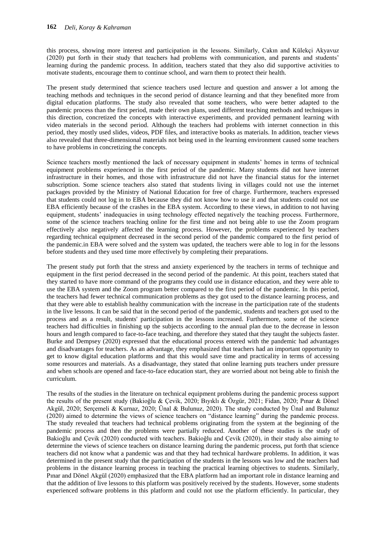this process, showing more interest and participation in the lessons. Similarly, Cakın and Külekçi Akyavuz (2020) put forth in their study that teachers had problems with communication, and parents and students' learning during the pandemic process. In addition, teachers stated that they also did supportive activities to motivate students, encourage them to continue school, and warn them to protect their health.

The present study determined that science teachers used lecture and question and answer a lot among the teaching methods and techniques in the second period of distance learning and that they benefited more from digital education platforms. The study also revealed that some teachers, who were better adapted to the pandemic process than the first period, made their own plans, used different teaching methods and techniques in this direction, concretized the concepts with interactive experiments, and provided permanent learning with video materials in the second period. Although the teachers had problems with internet connection in this period, they mostly used slides, videos, PDF files, and interactive books as materials. In addition, teacher views also revealed that three-dimensional materials not being used in the learning environment caused some teachers to have problems in concretizing the concepts.

Science teachers mostly mentioned the lack of necessary equipment in students' homes in terms of technical equipment problems experienced in the first period of the pandemic. Many students did not have internet infrastructure in their homes, and those with infrastructure did not have the financial status for the internet subscription. Some science teachers also stated that students living in villages could not use the internet packages provided by the Ministry of National Education for free of charge. Furthermore, teachers expressed that students could not log in to EBA because they did not know how to use it and that students could not use EBA efficiently because of the crashes in the EBA system. According to these views, in addition to not having equipment, students' inadequacies in using technology effected negatively the teaching process. Furthermore, some of the science teachers teaching online for the first time and not being able to use the Zoom program effectively also negatively affected the learning process. However, the problems experienced by teachers regarding technical equipment decreased in the second period of the pandemic compared to the first period of the pandemic.in EBA were solved and the system was updated, the teachers were able to log in for the lessons before students and they used time more effectively by completing their preparations.

The present study put forth that the stress and anxiety experienced by the teachers in terms of technique and equipment in the first period decreased in the second period of the pandemic. At this point, teachers stated that they started to have more command of the programs they could use in distance education, and they were able to use the EBA system and the Zoom program better compared to the first period of the pandemic. In this period, the teachers had fewer technical communication problems as they got used to the distance learning process, and that they were able to establish healthy communication with the increase in the participation rate of the students in the live lessons. It can be said that in the second period of the pandemic, students and teachers got used to the process and as a result, students' participation in the lessons increased. Furthermore, some of the science teachers had difficulties in finishing up the subjects according to the annual plan due to the decrease in lesson hours and length compared to face-to-face teaching, and therefore they stated that they taught the subjects faster. Burke and Dempsey (2020) expressed that the educational process entered with the pandemic had advantages and disadvantages for teachers. As an advantage, they emphasized that teachers had an important opportunity to get to know digital education platforms and that this would save time and practicality in terms of accessing some resources and materials. As a disadvantage, they stated that online learning puts teachers under pressure and when schools are opened and face-to-face education start, they are worried about not being able to finish the curriculum.

The results of the studies in the literature on technical equipment problems during the pandemic process support the results of the present study (Bakioğlu & Çevik, 2020; Bıyıklı & Özgür, 2021; Fidan, 2020; Pınar & Dönel Akgül, 2020; Serçemeli & Kurnaz, 2020; Ünal & Bulunuz, 2020). The study conducted by Ünal and Bulunuz (2020) aimed to determine the views of science teachers on "distance learning" during the pandemic process. The study revealed that teachers had technical problems originating from the system at the beginning of the pandemic process and then the problems were partially reduced. Another of these studies is the study of Bakioğlu and Çevik (2020) conducted with teachers. Bakioğlu and Çevik (2020), in their study also aiming to determine the views of science teachers on distance learning during the pandemic process, put forth that science teachers did not know what a pandemic was and that they had technical hardware problems. In addition, it was determined in the present study that the participation of the students in the lessons was low and the teachers had problems in the distance learning process in teaching the practical learning objectives to students. Similarly, Pınar and Dönel Akgül (2020) emphasized that the EBA platform had an important role in distance learning and that the addition of live lessons to this platform was positively received by the students. However, some students experienced software problems in this platform and could not use the platform efficiently. In particular, they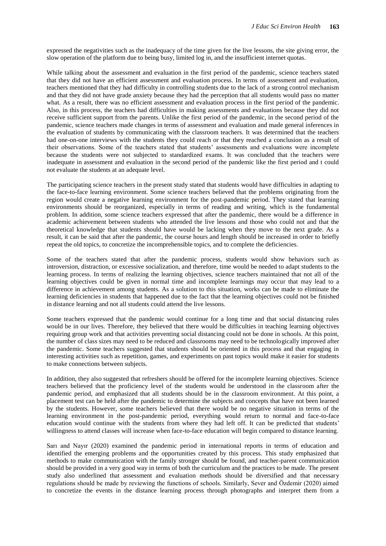expressed the negativities such as the inadequacy of the time given for the live lessons, the site giving error, the slow operation of the platform due to being busy, limited log in, and the insufficient internet quotas.

While talking about the assessment and evaluation in the first period of the pandemic, science teachers stated that they did not have an efficient assessment and evaluation process. In terms of assessment and evaluation, teachers mentioned that they had difficulty in controlling students due to the lack of a strong control mechanism and that they did not have grade anxiety because they had the perception that all students would pass no matter what. As a result, there was no efficient assessment and evaluation process in the first period of the pandemic. Also, in this process, the teachers had difficulties in making assessments and evaluations because they did not receive sufficient support from the parents. Unlike the first period of the pandemic, in the second period of the pandemic, science teachers made changes in terms of assessment and evaluation and made general inferences in the evaluation of students by communicating with the classroom teachers. It was determined that the teachers had one-on-one interviews with the students they could reach or that they reached a conclusion as a result of their observations. Some of the teachers stated that students' assessments and evaluations were incomplete because the students were not subjected to standardized exams. It was concluded that the teachers were inadequate in assessment and evaluation in the second period of the pandemic like the first period and t could not evaluate the students at an adequate level.

The participating science teachers in the present study stated that students would have difficulties in adapting to the face-to-face learning environment. Some science teachers believed that the problems originating from the region would create a negative learning environment for the post-pandemic period. They stated that learning environments should be reorganized, especially in terms of reading and writing, which is the fundamental problem. In addition, some science teachers expressed that after the pandemic, there would be a difference in academic achievement between students who attended the live lessons and those who could not and that the theoretical knowledge that students should have would be lacking when they move to the next grade. As a result, it can be said that after the pandemic, the course hours and length should be increased in order to briefly repeat the old topics, to concretize the incomprehensible topics, and to complete the deficiencies.

Some of the teachers stated that after the pandemic process, students would show behaviors such as introversion, distraction, or excessive socialization, and therefore, time would be needed to adapt students to the learning process. In terms of realizing the learning objectives, science teachers maintained that not all of the learning objectives could be given in normal time and incomplete learnings may occur that may lead to a difference in achievement among students. As a solution to this situation, works can be made to eliminate the learning deficiencies in students that happened due to the fact that the learning objectives could not be finished in distance learning and not all students could attend the live lessons.

Some teachers expressed that the pandemic would continue for a long time and that social distancing rules would be in our lives. Therefore, they believed that there would be difficulties in teaching learning objectives requiring group work and that activities preventing social distancing could not be done in schools. At this point, the number of class sizes may need to be reduced and classrooms may need to be technologically improved after the pandemic. Some teachers suggested that students should be oriented in this process and that engaging in interesting activities such as repetition, games, and experiments on past topics would make it easier for students to make connections between subjects.

In addition, they also suggested that refreshers should be offered for the incomplete learning objectives. Science teachers believed that the proficiency level of the students would be understood in the classroom after the pandemic period, and emphasized that all students should be in the classroom environment. At this point, a placement test can be held after the pandemic to determine the subjects and concepts that have not been learned by the students. However, some teachers believed that there would be no negative situation in terms of the learning environment in the post-pandemic period, everything would return to normal and face-to-face education would continue with the students from where they had left off. It can be predicted that students' willingness to attend classes will increase when face-to-face education will begin compared to distance learning.

Sarı and Nayır (2020) examined the pandemic period in international reports in terms of education and identified the emerging problems and the opportunities created by this process. This study emphasized that methods to make communication with the family stronger should be found, and teacher-parent communication should be provided in a very good way in terms of both the curriculum and the practices to be made. The present study also underlined that assessment and evaluation methods should be diversified and that necessary regulations should be made by reviewing the functions of schools. Similarly, Sever and Özdemir (2020) aimed to concretize the events in the distance learning process through photographs and interpret them from a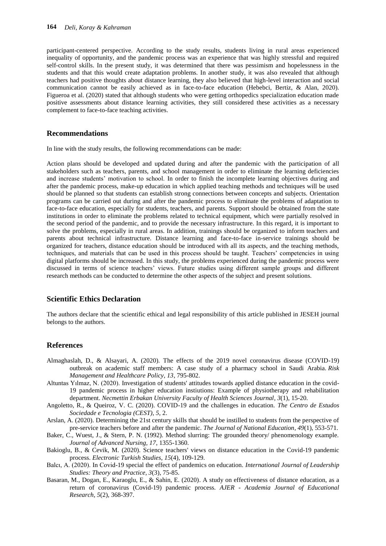participant-centered perspective. According to the study results, students living in rural areas experienced inequality of opportunity, and the pandemic process was an experience that was highly stressful and required self-control skills. In the present study, it was determined that there was pessimism and hopelessness in the students and that this would create adaptation problems. In another study, it was also revealed that although teachers had positive thoughts about distance learning, they also believed that high-level interaction and social communication cannot be easily achieved as in face-to-face education (Hebebci, Bertiz, & Alan, 2020). Figueroa et al. (2020) stated that although students who were getting orthopedics specialization education made positive assessments about distance learning activities, they still considered these activities as a necessary complement to face-to-face teaching activities.

## **Recommendations**

In line with the study results, the following recommendations can be made:

Action plans should be developed and updated during and after the pandemic with the participation of all stakeholders such as teachers, parents, and school management in order to eliminate the learning deficiencies and increase students' motivation to school. In order to finish the incomplete learning objectives during and after the pandemic process, make-up education in which applied teaching methods and techniques will be used should be planned so that students can establish strong connections between concepts and subjects. Orientation programs can be carried out during and after the pandemic process to eliminate the problems of adaptation to face-to-face education, especially for students, teachers, and parents. Support should be obtained from the state institutions in order to eliminate the problems related to technical equipment, which were partially resolved in the second period of the pandemic, and to provide the necessary infrastructure. In this regard, it is important to solve the problems, especially in rural areas. In addition, trainings should be organized to inform teachers and parents about technical infrastructure. Distance learning and face-to-face in-service trainings should be organized for teachers, distance education should be introduced with all its aspects, and the teaching methods, techniques, and materials that can be used in this process should be taught. Teachers' competencies in using digital platforms should be increased. In this study, the problems experienced during the pandemic process were discussed in terms of science teachers' views. Future studies using different sample groups and different research methods can be conducted to determine the other aspects of the subject and present solutions.

## **Scientific Ethics Declaration**

The authors declare that the scientific ethical and legal responsibility of this article published in JESEH journal belongs to the authors.

#### **References**

- Almaghaslah, D., & Alsayari, A. (2020). The effects of the 2019 novel coronavirus disease (COVID-19) outbreak on academic staff members: A case study of a pharmacy school in Saudi Arabia. *Risk Management and Healthcare Policy, 13*, 795-802.
- Altuntas Yılmaz, N. (2020). Investigation of students' attitudes towards applied distance education in the covid-19 pandemic process in higher education instiutions: Example of physiotherapy and rehabilitation department. *Necmettin Erbakan University Faculty of Health Sciences Journal*, *3*(1), 15-20.
- Angoletto, R., & Queiroz, V. C. (2020). COVID-19 and the challenges in education. *The Centro de Estudos Sociedade e Tecnologia (CEST)*, *5*, 2.
- Arslan, A. (2020). Determining the 21st century skills that should be instilled to students from the perspective of pre-service teachers before and after the pandemic. *The Journal of National Education, 49*(1), 553-571.
- Baker, C., Wuest, J., & Stern, P. N. (1992). Method slurring: The grounded theory/ phenomenology example. *Journal of Advanced Nursing, 17*, 1355-1360.
- Bakioglu, B., & Cevik, M. (2020). Science teachers' views on distance education in the Covid-19 pandemic process. *Electronic Turkish Studies*, *15*(4), 109-129.
- Balcı, A. (2020). In Covid-19 special the effect of pandemics on education. *International Journal of Leadership Studies: Theory and Practice, 3*(3), 75-85.
- Basaran, M., Dogan, E., Karaoglu, E., & Sahin, E. (2020). A study on effectiveness of distance education, as a return of coronavirus (Covid-19) pandemic process. *AJER - Academia Journal of Educational Research, 5*(2), 368-397.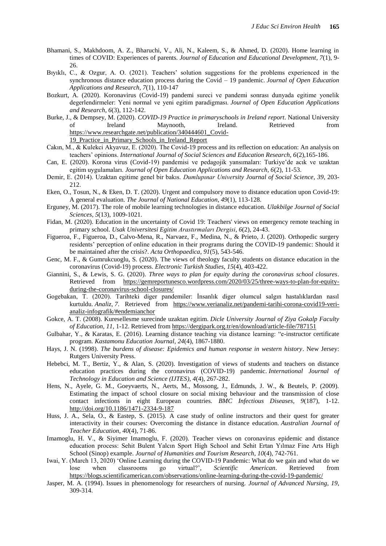- Bhamani, S., Makhdoom, A. Z., Bharuchi, V., Ali, N., Kaleem, S., & Ahmed, D. (2020). Home learning in times of COVID: Experiences of parents. *Journal of Education and Educational Development*, *7*(1), 9- 26.
- Bıyıklı, C., & Ozgur, A. O. (2021). Teachers' solution suggestions for the problems experienced in the synchronous distance education process during the Covid – 19 pandemic. *Journal of Open Education Applications and Research, 7*(1), 110-147
- Bozkurt, A. (2020). Koronavirus (Covid-19) pandemi sureci ve pandemi sonrası dunyada egitime yonelik degerlendirmeler: Yeni normal ve yeni egitim paradigması. *Journal of Open Education Applications and Research, 6*(3), 112-142.
- Burke, J., & Dempsey, M. (2020). *COVID-19 Practice in primaryschools in Ireland report*. National University of Ireland Maynooth, Ireland. Retrieved from [https://www.researchgate.net/publication/340444601\\_Covid-](https://www.researchgate.net/publication/340444601_Covid-19_Practice_in_Primary_Schools_in_Ireland_Report)[19\\_Practice\\_in\\_Primary\\_Schools\\_in\\_Ireland\\_Report](https://www.researchgate.net/publication/340444601_Covid-19_Practice_in_Primary_Schools_in_Ireland_Report)
- Cakın, M., & Kulekci Akyavuz, E. (2020). The Covid-19 process and its reflection on education: An analysis on teachers' opinions. *International Journal of Social Sciences and Education Research, 6*(2),165-186.
- Can, E. (2020). Korona virus (Covid-19) pandemisi ve pedagojik yansımaları: Turkiye'de acık ve uzaktan egitim uygulamaları. *Journal of Open Education Applications and Research, 6*(2), 11-53.
- Demir, E. (2014). Uzaktan egitime genel bir bakıs. *Dumlupınar University Journal of Social Science*, *39*, 203- 212.
- Eken, O., Tosun, N., & Eken, D. T. (2020). Urgent and compulsory move to distance education upon Covid-19: A general evaluation. *The Journal of National Education*, *49*(1), 113-128.
- Erguney, M. (2017). The role of mobile learning technologies in distance education. *Ulakbilge Journal of Social Sciences, 5*(13), 1009-1021.
- Fidan, M. (2020). Education in the uncertainty of Covid 19: Teachers' views on emergency remote teaching in primary school. *Usak Universitesi Egitim Arastırmaları Dergisi*, *6*(2), 24-43.
- Figueroa, F., Figueroa, D., Calvo-Mena, R., Narvaez, F., Medina, N., & Prieto, J. (2020). Orthopedic surgery residents' perception of online education in their programs during the COVID-19 pandemic: Should it be maintained after the crisis?. *Acta Orthopaedica*, *91*(5), 543-546.
- Genc, M. F., & Gumrukcuoglu, S. (2020). The views of theology faculty students on distance education in the coronavirus (Covid-19) process. *Electronic Turkish Studies*, *15*(4), 403-422.
- Giannini, S., & Lewis, S. G. (2020). *Three ways to plan for equity during the coronavirus school closures*. Retrieved from [https://gemreportunesco.wordpress.com/2020/03/25/three-ways-to-plan-for-equity](https://gemreportunesco.wordpress.com/2020/03/25/three-ways-to-plan-for-equity-during-the-coronavirus-school-closures/)[during-the-coronavirus-school-closures/](https://gemreportunesco.wordpress.com/2020/03/25/three-ways-to-plan-for-equity-during-the-coronavirus-school-closures/)
- Gogebakan, T. (2020). Tarihteki diger pandemiler: İnsanlık diger olumcul salgın hastalıklardan nasıl kurtuldu. *Analiz*, *7*. Retrieved from [https://www.verianaliz.net/pandemi-tarihi-corona-covid19-veri](https://www.verianaliz.net/pandemi-tarihi-corona-covid19-veri-analiz-infografik/#endemianchor)[analiz-infografik/#endemianchor](https://www.verianaliz.net/pandemi-tarihi-corona-covid19-veri-analiz-infografik/#endemianchor)
- Gokce, A. T. (2008). Kuresellesme surecinde uzaktan egitim. *Dicle University Journal of Ziya Gokalp Faculty of Education*, *11,* 1-12. Retrieved from<https://dergipark.org.tr/en/download/article-file/787151>
- Gulbahar, Y., & Karatas, E. (2016). Learning distance teaching via distance learning: "e-instructor certificate program. *Kastamonu Education Journal, 24*(4), 1867-1880.
- Hays, J. N. (1998). *The burdens of disease: Epidemics and human response in western history*. New Jersey: Rutgers University Press.
- Hebebci, M. T., Bertiz, Y., & Alan, S. (2020). Investigation of views of students and teachers on distance education practices during the coronavirus (COVID-19) pandemic. *International Journal of Technology in Education and Science (IJTES)*, *4*(4), 267-282.
- Hens, N., Ayele, G. M., Goeyvaerts, N., Aerts, M., Mossong, J., Edmunds, J. W., & Beutels, P. (2009). Estimating the impact of school closure on social mixing behaviour and the transmission of close contact infections in eight European countries. *BMC Infectious Diseases, 9*(187), 1-12. <http://doi.org/10.1186/1471-2334-9-187>
- Huss, J. A., Sela, O., & Eastep, S. (2015). A case study of online instructors and their quest for greater interactivity in their courses: Overcoming the distance in distance education. *Australian Journal of Teacher Education*, *40*(4), 71-86.
- Imamoglu, H. V., & Siyimer Imamoglu, F. (2020). Teacher views on coronavirus epidemic and distance education process: Sehit Bulent Yalcın Sport High School and Sehit Ertan Yılmaz Fine Arts High School (Sinop) example. *Journal of Humanities and Tourism Research*, *10*(4), 742-761.
- Iwai, Y. (March 13, 2020) 'Online Learning during the COVID-19 Pandemic: What do we gain and what do we lose when classrooms go virtual?'*, Scientific American*. Retrieved from <https://blogs.scientificamerican.com/observations/online-learning-during-the-covid-19-pandemic/>
- Jasper, M. A. (1994). Issues in phenomenology for researchers of nursing. *Journal of Advanced Nursing, 19*, 309-314.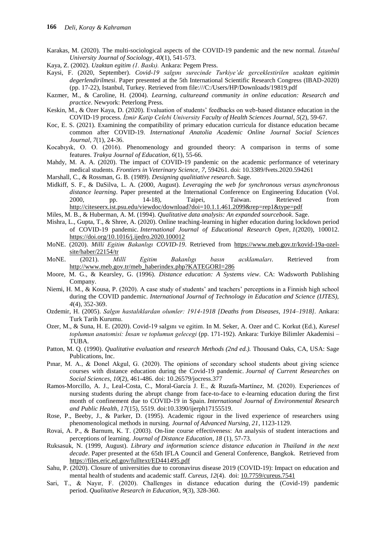- Karakas, M. (2020). The multi-sociological aspects of the COVID-19 pandemic and the new normal. *İstanbul University Journal of Sociology, 40*(1), 541-573.
- Kaya, Z. (2002). *Uzaktan egitim (1. Baskı).* Ankara: Pegem Press.
- Kaysi, F. (2020, September). *Covid-19 salgını surecinde Turkiye'de gerceklestirilen uzaktan egitimin degerlendirilmesi*. Paper presented at the 5th International Scientific Research Congress (IBAD-2020) (pp. 17-22), Istanbul, Turkey. Retrieved from file:///C:/Users/HP/Downloads/19819.pdf
- Kazmer, M., & Caroline, H. (2004). *Learning, cultureand community in online education: Research and practice*. Newyork: Peterlong Press.
- Keskin, M., & Ozer Kaya, D. (2020). Evaluation of students' feedbacks on web-based distance education in the COVID-19 process. *İzmir Katip Celebi University Faculty of Health Sciences Journal*, *5*(2), 59-67.
- Koc, E. S. (2021). Examining the compatibility of primary education curricula for distance education became common after COVID-19. *International Anatolia Academic Online Journal Social Sciences Journal*, *7*(1), 24-36.
- Kocabıyık, O. O. (2016). Phenomenology and grounded theory: A comparison in terms of some features. *Trakya Journal of Education*, *6*(1), 55-66.
- Mahdy, M. A. A. (2020). The impact of COVID-19 pandemic on the academic performance of veterinary medical students. *Frontiers in Veterinary Science, 7*, 594261. doi: 10.3389/fvets.2020.594261
- Marshall, C., & Rossman, G. B. (1989). *Designing qualitiative research*. Sage.
- Midkiff, S. F., & DaSilva, L. A. (2000, August). *Leveraging the web for synchronous versus asynchronous distance learning*. Paper presented at the International Conference on Engineering Education (Vol. 2000, pp. 14-18), Taipei, Taiwan. Retrieved from <http://citeseerx.ist.psu.edu/viewdoc/download?doi=10.1.1.461.2099&rep=rep1&type=pdf>
- Miles, M. B., & Huberman, A. M. (1994). *Qualitative data analysis: An expanded sourcebook*. Sage.
- Mishra, L., Gupta, T., & Shree, A. (2020). Online teaching-learning in higher education during lockdown period of COVID-19 pandemic. *International Journal of Educational Research Open*, *1*(2020), 100012. <https://doi.org/10.1016/j.ijedro.2020.100012>
- MoNE. (2020). *Millî Egitim Bakanlıgı COVID-19*. Retrieved from [https://www.meb.gov.tr/kovid-19a-ozel](https://www.meb.gov.tr/kovid-19a-ozel-site/haber/22154/tr)[site/haber/22154/tr](https://www.meb.gov.tr/kovid-19a-ozel-site/haber/22154/tr)
- MoNE. (2021). *Millî Egitim Bakanlıgı basın acıklamaları*. Retrieved from [http://www.meb.gov.tr/meb\\_haberindex.php?KATEGORI=286](http://www.meb.gov.tr/meb_haberindex.php?KATEGORI=286)
- Moore, M. G., & Kearsley, G. (1996). *Distance education: A Systems view*. CA: Wadsworth Publishing Company.
- Niemi, H. M., & Kousa, P. (2020). A case study of students' and teachers' perceptions in a Finnish high school during the COVID pandemic. *International Journal of Technology in Education and Science (IJTES), 4*(4), 352-369.
- Ozdemir, H. (2005). *Salgın hastalıklardan olumler: 1914-1918 [Deaths from Diseases, 1914–1918].* Ankara: Turk Tarih Kurumu.
- Ozer, M., & Suna, H. E. (2020). Covid-19 salgını ve egitim. In M. Seker, A. Ozer and C. Korkut (Ed.), *Kuresel toplumun anatomisi: İnsan ve toplumun gelecegi* (pp. 171-192). Ankara: Turkiye Bilimler Akademisi – TUBA.
- Patton, M. Q. (1990). *Qualitative evaluation and research Methods (2nd ed.).* Thousand Oaks, CA, USA: Sage Publications, Inc.
- Pınar, M. A., & Donel Akgul, G. (2020). The opinions of secondary school students about giving science courses with distance education during the Covid-19 pandemic. *Journal of Current Researches on Social Sciences*, *10*(2), 461-486. doi: 10.26579/jocress.377
- Ramos-Morcillo, A. J., Leal-Costa, C., Moral-García J. E., & Ruzafa-Martínez, M. (2020). Experiences of nursing students during the abrupt change from face-to-face to e-learning education during the first month of confinement due to COVID-19 in Spain. *International Journal of Environmental Research and Public Health, 17*(15), 5519. doi:10.3390/ijerph17155519.
- Rose, P., Beeby, J., & Parker, D. (1995). Academic rigour in the lived experience of researchers using phenomenological methods in nursing. *Journal of Advanced Nursing, 21*, 1123-1129.
- Rovai, A. P., & Barnum, K. T. (2003). On-line course effectiveness: An analysis of student interactions and perceptions of learning. *Journal of Distance Education, 18* (1), 57-73.
- Ruksasuk, N. (1999, August). *Library and information science distance education in Thailand in the next decade*. Paper presented at the 65th IFLA Council and General Conference, Bangkok. Retrieved from <https://files.eric.ed.gov/fulltext/ED441495.pdf>
- Sahu, P. (2020). Closure of universities due to coronavirus disease 2019 (COVID-19): Impact on education and mental health of students and academic staff. *Cureus*, 12(4). doi: [10.7759/cureus.7541](https://dx.doi.org/10.7759%2Fcureus.7541)
- Sari, T., & Nayır, F. (2020). Challenges in distance education during the (Covid-19) pandemic period. *Qualitative Research in Education*, *9*(3), 328-360.